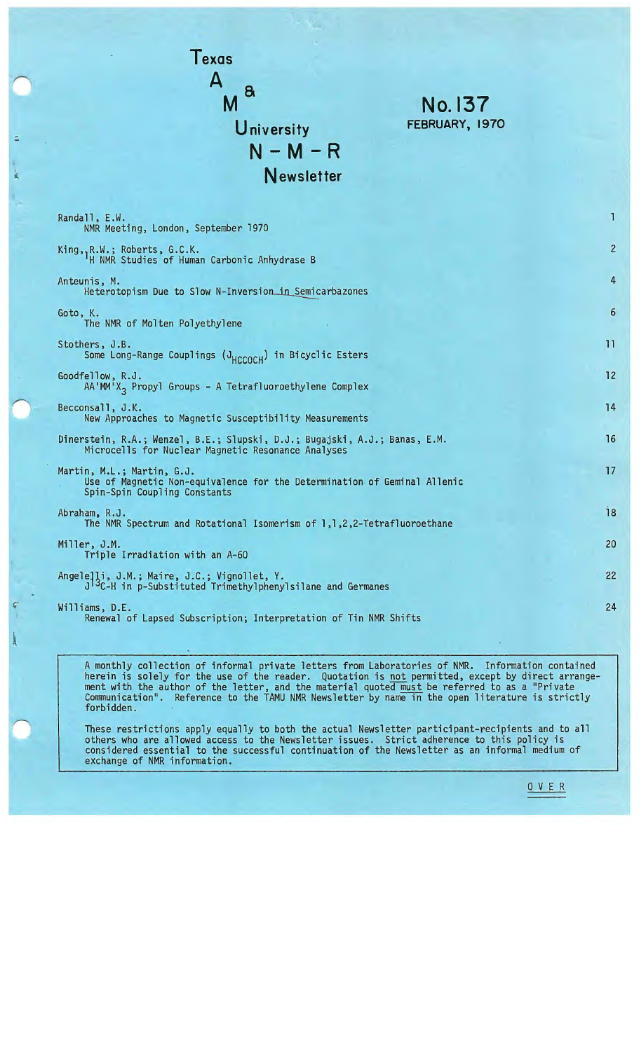| <b>Texas</b><br>$\mathbf{A}$                                                                                                           |              |
|----------------------------------------------------------------------------------------------------------------------------------------|--------------|
| $\mathbf{a}$<br><b>No. 137</b><br>M<br>FEBRUARY, 1970<br>University                                                                    |              |
| $N - M - R$                                                                                                                            |              |
| Newsletter                                                                                                                             |              |
| Randall, E.W.<br>NMR Meeting, London, September 1970                                                                                   | 1            |
| King, R.W.; Roberts, G.C.K.<br><sup>1</sup> H NMR Studies of Human Carbonic Anhydrase B                                                | $\mathbf{2}$ |
| Anteunis, M.<br>Heterotopism Due to Slow N-Inversion in Semicarbazones                                                                 | 4            |
| Goto, K.<br>The NMR of Molten Polyethylene                                                                                             | 6            |
| Stothers, J.B.<br>Some Long-Range Couplings (J <sub>HCCOCH</sub> ) in Bicyclic Esters                                                  | 11           |
| Goodfellow, R.J.<br>$AA'MM'X_{2}$ Propyl Groups - A Tetrafluoroethylene Complex                                                        | 12           |
| Becconsall, J.K.<br>New Approaches to Magnetic Susceptibility Measurements                                                             | 14           |
| Dinerstein, R.A.; Wenzel, B.E.; Slupski, D.J.; Bugajski, A.J.; Banas, E.M.<br>Microcells for Nuclear Magnetic Resonance Analyses       | 16           |
| Martin, M.L.; Martin, G.J.<br>Use of Magnetic Non-equivalence for the Determination of Geminal Allenic<br>Spin-Spin Coupling Constants | 17           |
| Abraham, R.J.<br>The NMR Spectrum and Rotational Isomerism of 1,1,2,2-Tetrafluoroethane                                                | 18           |
| Miller, J.M.<br>Triple Irradiation with an A-60                                                                                        | 20           |
| Angelelli, J.M.; Maire, J.C.; Vignollet, Y.<br>J <sup>13</sup> C-H in p-Substituted Trimethylphenylsilane and Germanes                 | 22           |
| Williams, D.E.<br>Renewal of Lapsed Subscription; Interpretation of Tin NMR Shifts                                                     | 24           |

 $\bar{\omega}$ 

A monthly collection of informal private letters from Laboratories of NMR. Information contained herein is solely for the use of the reader. Quotation is not permitted, except by direct arrangement with the author of the letter, and the material quoted must be referred to as a "Private Communication". Reference to the TAMU NMR Newsletter by name in the open literature is strictly forbidden.

These restrictions apply equally to both the actual Newsletter participant-recipients and to all others who are allowed access to the Newsletter issues. Strict adherence to this policy is considered essential to the successful continuation of the Newsletter as an informal medium of exchange of NMR information.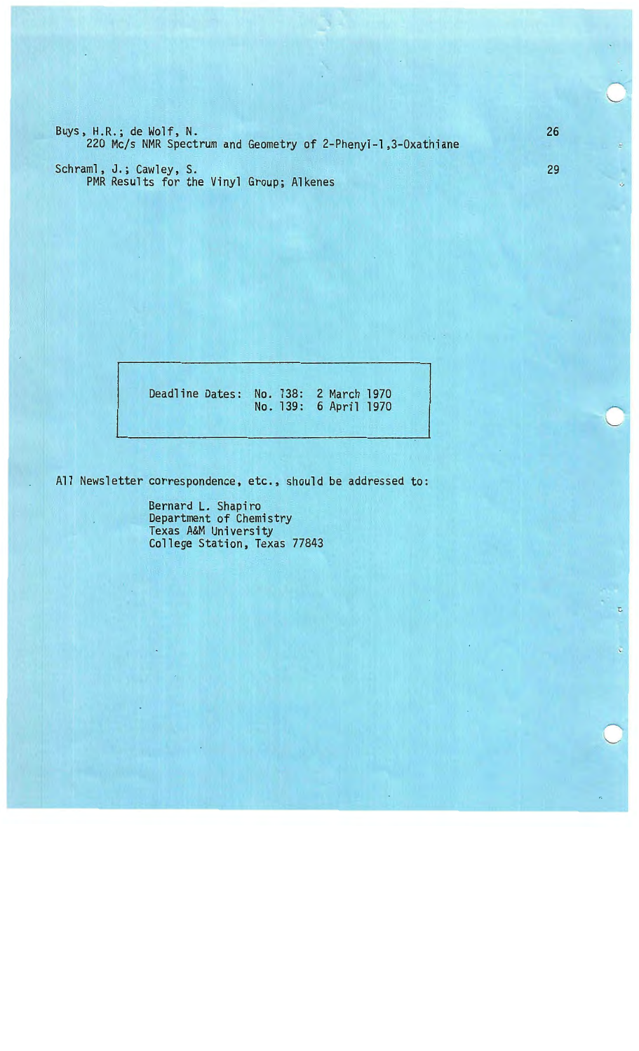Buys, H.R.; de Wolf, N. 220 Mc/s NMR Spectrum and Geometry of 2-Phenyl-1,3-0xathiane

Schraml, J.; Cawley, S. PMR Results for the Vinyl Group; Alkenes

> Deadline Dates: No. 138: 2 March 1970 No. 139: 6 April 1970

All Newsletter correspondence, etc., should be addressed to:

Bernard L. Shapiro Department of Chemistry Texas A&M University College Station, Texas 77843 29

C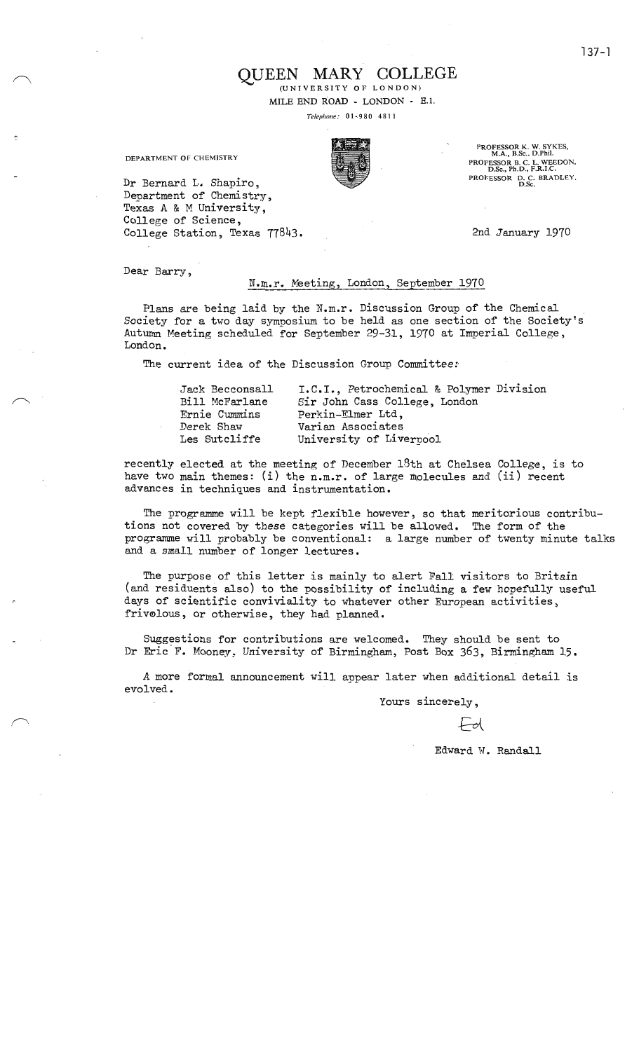**QUEEN MARY COLLEGE** 

(U N I V E R S I T Y O F L O N D O N )

MILE END ROAD - LONDON - E.l.

*Telephone :* 0 I -9 8 0 4 8 I I

DEPARTMENT OF CHEMISTRY

Dr Bernard L. Shapiro, Department of Chemistry, Texas A & M University, College of Science, College Station, Texas 77843.

PROFESSOR **K. W.** SYKES, **M .A.,** B.Sc .. D.Phil. PROFESSOR B. C. L. WEEDON, D.Sc., Ph.D., F.R.l.C. PROFESSOR D. C. BRADLEY,

2nd January 1970

Dear Barry,

#### N.m.r. Meeting, London, September 1970

Plans are being laid by the N.m.r. Discussion Group of the Chemical Society for a two day symposium to be held as one section of the Society's Autumn Meeting scheduled for September 29-31, 1970 at Imperial College, London.

The current idea of the Discussion Group Committee:

| Jack Becconsall | I.C.I., Petrochemical & Polymer Division |
|-----------------|------------------------------------------|
| Bill McFarlane  | Sir John Cass College, London            |
| Ernie Cummins   | Perkin-Elmer Ltd,                        |
| Derek Shaw      | Varian Associates                        |
| Les Sutcliffe   | University of Liverpool                  |

recently elected at the meeting of December 18th at Chelsea College, is to have two main themes: (i) the n.m.r. of large molecules and (ii) recent advances in techniques and instrumentation.

The programme will be kept flexible however, so that meritorious contributions not covered by these categories will be allowed. The form of the programme will probably be conventional: a large number of twenty minute talks and a small number of longer lectures.

The purpose of this letter is mainly to alert Fall visitors to Britain (and residuents also) to the possibility of including a few hopefully useful days of scientific conviviality to whatever other European activities, frivolous, or otherwise, they had planned.

Suggestions for contributions are welcomed. They should be sent to Dr Eric F. Mooney, University of Birmingham, Post Box 363, Birmingham 15.

A more formal announcement will appear later when additional detail is evolved.

Yours sincerely,

Edward W. Randall

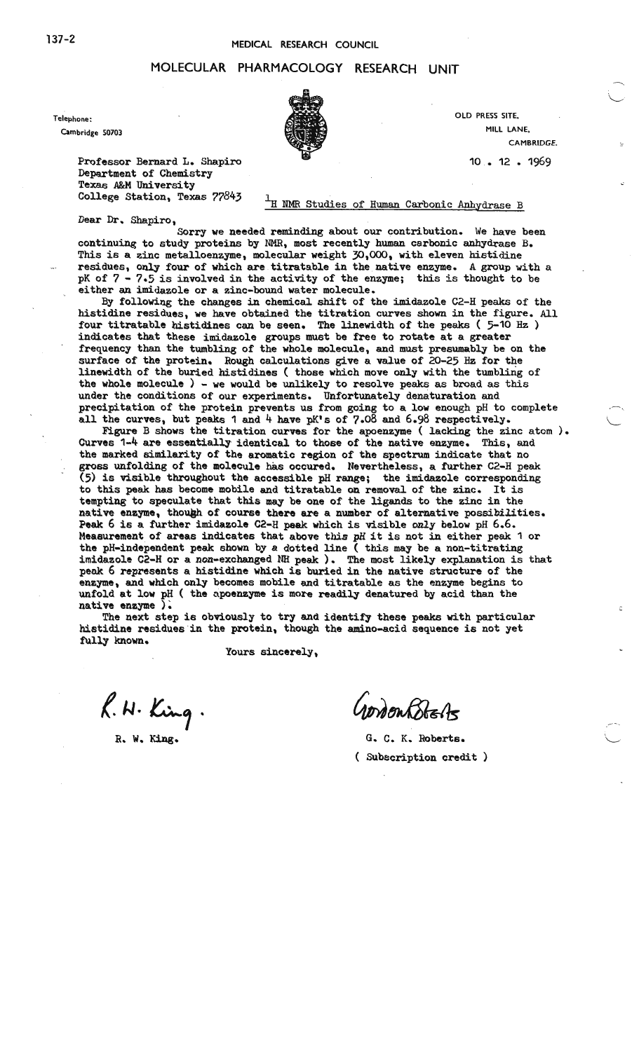#### 137-2 MEDICAL **RESEARCH** COUNCIL

#### MOLECULAR PHARMACOLOGY RESEARCH UNIT

Cambridge 50703

Professor Bernard L. Shapiro Department of Chemistry **Texas A&M** University College Station, Texas 77843

 $1_H$  NMR Studies of Human Carbonic Anhydrase B

MILL LANE,

10 • 12 • 1969

CAMBRIDGE.

 $\frown$  $\setminus$ 

L

Dear Dr. Shapiro,

Sorry **we needed** reminding about our contribution. We have been continuing to study proteins by NMR, most recently human carbonic anhydrase B. This is a zinc metalloenzyme, molecular **weight** 30,000, **with** eleven histidine residues, only four of which are titratable in the native enzyme. A group with a pK of  $7 - 7.5$  is involved in the activity of the enzyme; this is thought to be either an imidazole or a zinc-bound **water** molecule.

By following the changes in chemical shift of the imidazole C2-H peaks of the histidine residues, we have obtained the titration curves shown in the figure. All four titratable histidines can be seen. The linewidth of the peaks ( 5-10 Hz) indicates that these imidazole groups must be free to rotate at a greater frequency than the tumbling of the whole molecule, and must presumably be on the surface of the protein. Rough calculations give a value of 20-25 Hz for the linewidth of the buried histidines ( those which move only with the tumbling of the **whole** molecule) - we would be unlikely to resolve peaks as broad as this under the conditions of our experiments. Unfortunately denaturation and precipitation of the protein prevents us from going to a low enough pH to complete all the curves, but peaks 1 and 4 have pK's of 7.08 and 6.98 respectively.

Figure B shows the titration curves for the apoenzyme ( lacking the zinc atom). Curves 1-4 are essentially identical to those of the native enzyme. This, and the marked similarity of the aromatic region of the spectrum indicate that no gross unfolding of the molecule has occured. Nevertheless, a further C2-H peak (5) is visible throughout the accessible pH range; the imidazole corresponding to this peak has become mobile and titratable on removal of the zinc. It is tempting to speculate that this may be one of the ligands to the zinc in the native enzyme, though of course there are a number of alternative possibilities. Peak 6 is a further imidazole C2-H peak which is visible only below pH 6.6. Measurement of areas indicates that above this pH it is not in either peak 1 or the pH-independent peak shown by a dotted line ( this may be a non-titrating imidazole C2-H or a non-exchanged NH peak). The most likely explanation is that peak 6 represents a histidine which is buried in the native structure of the enzyme, and which only becomes mobile and titratable as the enzyme begins to unfold at low pH ( the npoenzyme is more readily denatured by acid than the native enzyme ).

The next step is obviously to try and identify these peaks with particular histidine residues in the protein, though the amino-acid sequence is not yet fully known.

Yours sincerely,

R. N. King. 4000 Montbelts

( Subscription credit)

Telephone: OLD PRESS SITE.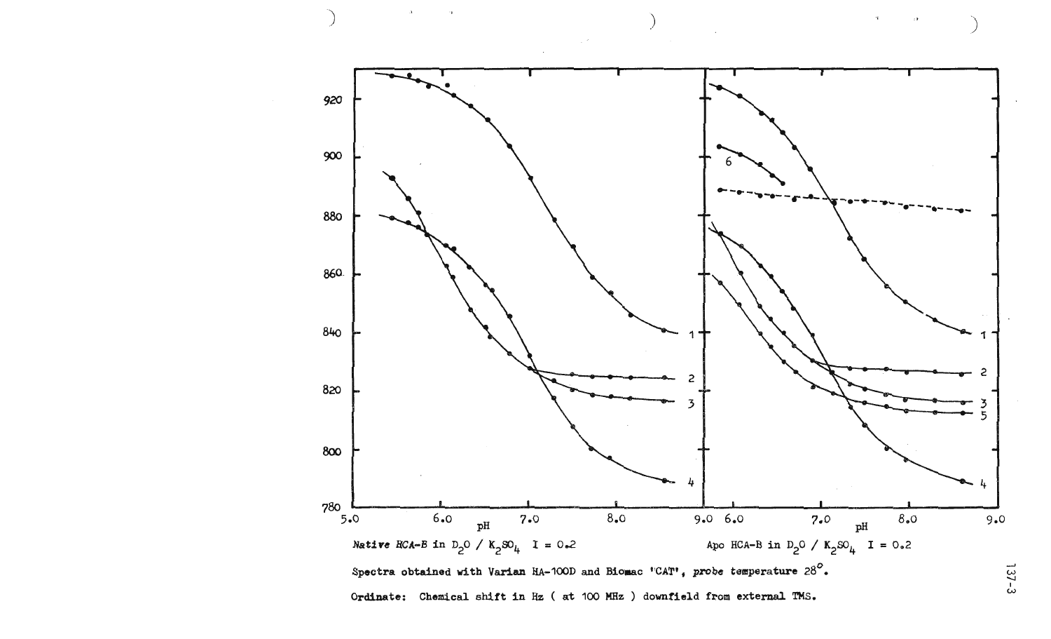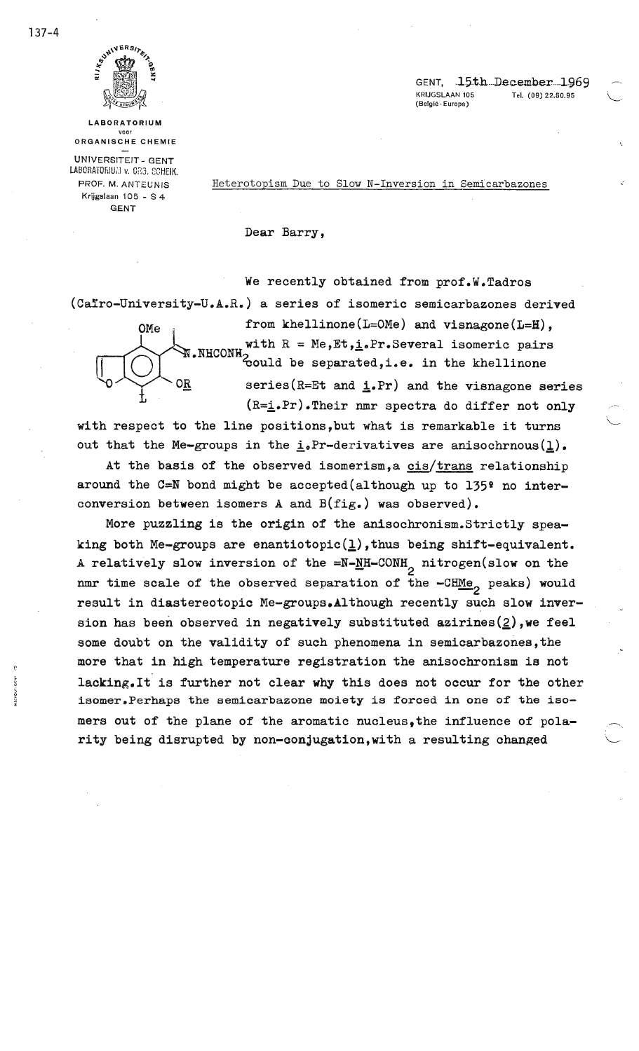GENT, 15th December 1969 KRIJGSLAAN 105 (België - Europa)

Tel. (09) 22.60.95

L

**LABORATORIUM**  voor ORGANISCHE CHEMIE UNIVERSITEIT - GENT

LABORATORIUM v. CR3. ECHEIK. PROF. **M .** ANTEUNIS Krijgslaan 105 - S 4 GENT

OMe

OR

Heterotopism Due to Slow N-Inversion in Semicarbazones

Dear Barry,

We recently obtained from prof.W. Tadros (Cairo-University-U.A.R.) a series of isomeric semicarbazones derived

> from khellinone(L=OMe) and visnagone(L=H), with  $R = Me$ ,  $Et$ ,  $i$ .  $Pr$ . Several isomeric pairs<br>  $R = Me$ ,  $R + 1$ .  $R = Re$ ,  $R + 1$ .  $R + 1$ .  $R + 1$ .  $R + 1$ .  $R + 1$ .  $R + 1$ .  $R + 1$ .  $R + 1$ .  $R + 1$ .  $R + 1$ .  $R + 1$ .  $R + 1$ .  $R + 1$ .  $R + 1$ .  $R + 1$ .  $R + 1$ .  $R + 1$ .  $R + 1$ .  $R +$ series( $R=Et$  and  $i.Pr$ ) and the visnagone series  $(R=i.Pr)$ .Their nmr spectra do differ not only

with respect to the line positions,but what is remarkable it turns

out that the Me-groups in the i.Pr-derivatives are anisochrnous( $\underline{1}$ ).<br>At the basis of the observed isomerism,a cis/trans relationship around the  $C=N$  bond might be accepted(although up to  $135$ <sup>2</sup> no interconversion between isomers A and B(fig.) was observed).

More puzzling is the origin of the anisochronism.Strictly speaking both Me-groups are enantiotopic $(1)$ , thus being shift-equivalent. A relatively slow inversion of the  $=N-MH-CONH$ <sub>2</sub> nitrogen(slow on the nmr time scale of the observed separation of the -CHMe<sub>2</sub> peaks) would result in diastereotopic Me-groups.Although recently such slow inversion has been observed in negatively substituted azirines $(2)$ , we feel some doubt on the validity of such phenomena in semicarbazones,the more that in high temperature registration the anisochronism is not lacking.It is further not clear why this does not occur for the other isomer.Perhaps the semicarbazone moiety is forced in one of the isomers out of the plane of the aromatic nucleus,the influence of polarity being disrupted by non-conjugation, with a resulting changed

137-4

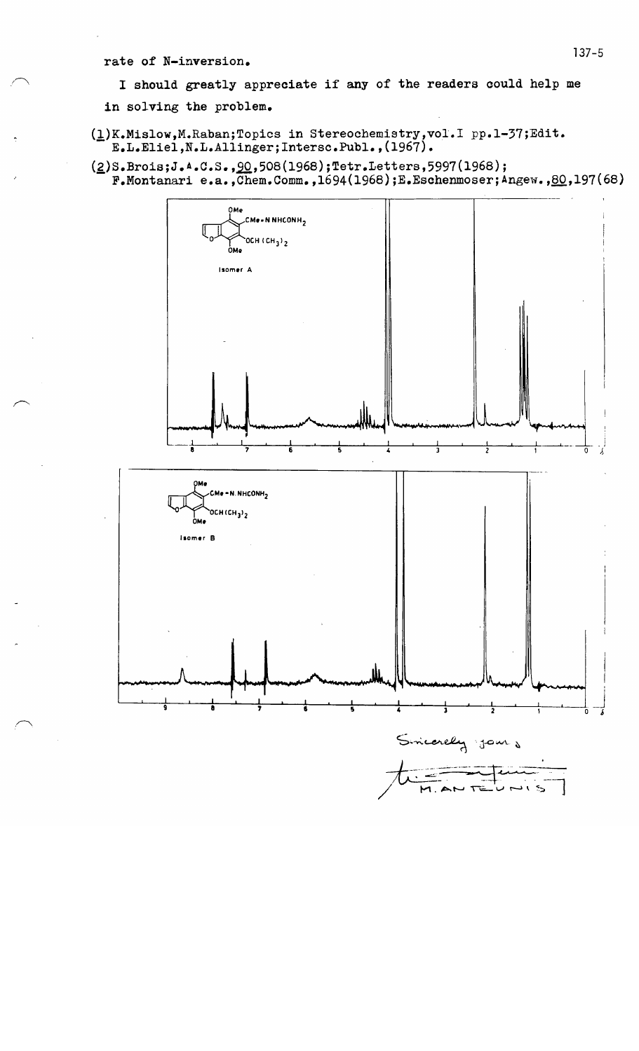I should greatly appreciate if any of the readers could help me

in solving the problem.

(1)K.Mislow, M.Raban; Topics in Stereochemistry, vol. I pp. 1-37; Edit. E.L.Eliel, N.L.Allinger; Intersc.Publ., (1967).

 $(2)$ S.Brois;J.A.C.S., 90,508(1968);Tetr.Letters, 5997(1968);<br>F.Montanari e.a., Chem.Comm., 1694(1968);E.Eschenmoser; Angew., 80,197(68)

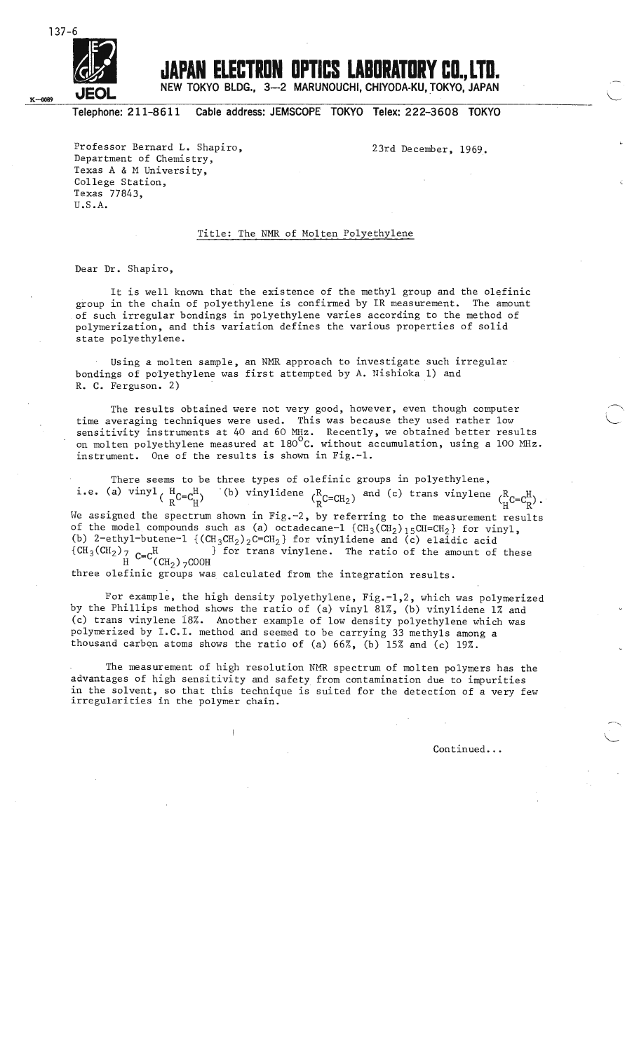

# **JAPAN ELECTRON OPTICS LABORATORY CO., LTD.**<br>
NEW TOKYO BLDG., 3-2 MARUNOUCHI, CHIYODA-KU, TOKYO, JAPAN<br>
Telephone: 211-8611 Cable address: JEMSCOPE TOKYO Telex: 222-3608 TOKYO

**JEOL NEW TOKYO BLDG.,** 3-2 **MARUNOUCHI, CHIYODA-KU, TOKYO, JAPAN** 

23rd December, 1969.

**Telephone: 211-8611 Cable address: JEMSCOPE TOKYO Telex: 222-3608 TOKYO** 

Professor Bernard L. Shapiro, Department of Chemistry, Texas A & M University, College Station, Texas 77843, U.S.A.

#### Title: The NMR of Molten Polyethylene

Dear Dr. Shapiro,

It is well known that the existence of the methyl group and the olefinic group in the chain of polyethylene is confirmed by IR measurement. The amount . of such irregular bondings in polyethylene varies according to the method of polymerization, and this variation defines the various properties of solid state polyethylene.

Using a molten sample, an NMR approach to investigate such irregular bondings of polyethylene was first attempted by A. Uishioka 1) and R. C. Ferguson. 2)

The results obtained were not very good, however, even though computer time averaging techniques were used. This was because they used rather low sensitivity instruments at 40 and 60 MHz. Recently, we obtained better results on molten polyethylene measured at 180°C. without accumulation, using a 100 MHz. instrument. One of the results is shown in Fig.-1.

There seems to be three types of olefinic groups in polyethylene; i.e. (a)  $\text{vinyl}_i$   $\frac{H}{R}C=C_H^H$ ) (b) vinylidene  $\frac{R}{R}C=C_{H_2}$ ) and (c) trans vinylene  $\frac{R}{H}C=C_H^H$ ). We assigned the spectrum shown in Fig.-2, by referring to the measurement results of the model compounds such as (a) octadecane-1  ${CH_3 CH_2}$   $_{15}CH=CH_2$  for vinyl, (b) 2-ethyl-butene-l  ${({CH}_3CH_2)_2C=CH_2}$  for vinylidene and (c) elaidic acid  ${CH}_3(CH_2)_7$   $_{C-C}H$  } for trans vinylene. The ratio of the amount of } for trans vinylene. The ratio of the amount of these  $\text{(CH}_2)7\text{COOH}$ three olefinic groups was calculated from the integration results.

For example, the high density polyethylene, Fig.-1,2, which was polymerized by the Phillips method shows the ratio of (a) vinyl 81%, (b) vinylidene 1% and (c) trans vinylene i8%. Another example of low density polyethylene which was polymerized by I.C.I. method and seemed to be carrying 33 methyls among a thousand carbon atoms shows the ratio of (a)  $66\%$ , (b) 15% and (c) 19%.

The measurement of high resolution NMR spectrum of molten polymers has the advantages of high sensitivity and safety from contamination due to impurities in the solvent, so that this technique is suited for the detection of a very few irregularities in the polymer chain.

Continued...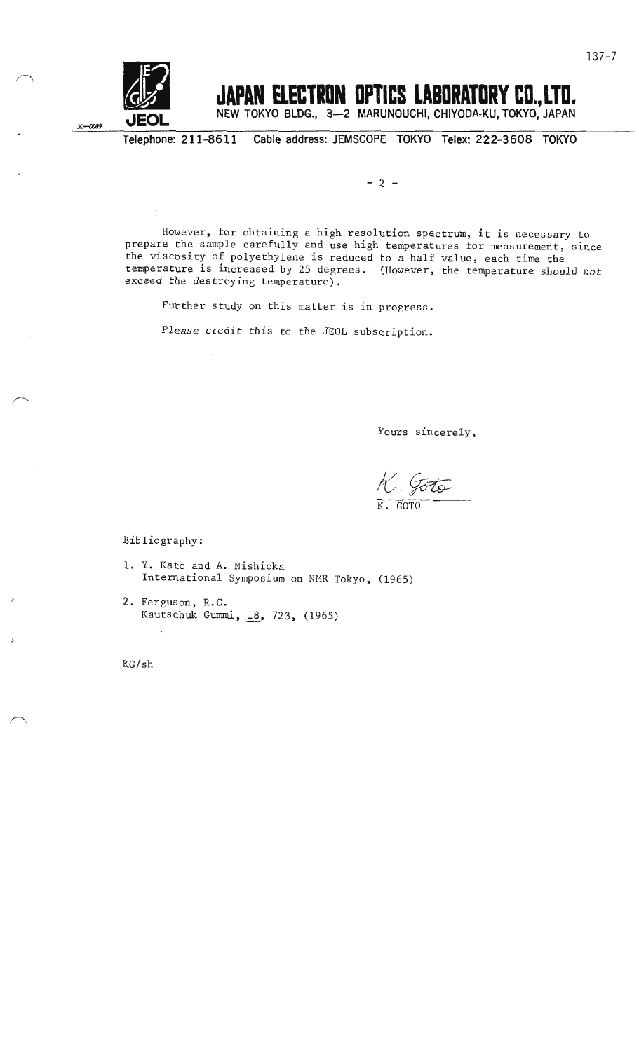

## **JAPAN ELECTRON OPTICS LABORATORY CD., LTD.**

**NEW TOKYO BLDG., 3-2 MARUNOUCHI, CHIYODA-KU, TOKYO, JAPAN** 

K-0089

**Telephone: 211-8611 Cable address: JEMSCOPE TOKYO Telex: 222-3608 TOKYO** 

 $- 2 -$ 

However, for obtaining a high resolution spectrum, it is necessary to prepare the sample carefully and use high temperatures for measurement, since the viscosity of polyethylene is reduced to a half value, each time the temperature is increased by 25 degrees. (However, the temperature should not exceed the destroying temperature).

Further study on this matter is in progress.

Please credit this to the JEOL subscription.

Yours sincerely,

K. Joto

K. GOTO

Bibliography:

- 1. Y. Kato and A. Nishioka International Symposium on NMR Tokyo, (1965)
- 2. Ferguson, R.C. Kautschuk Gummi, 18, 723, (1965)

KG/sh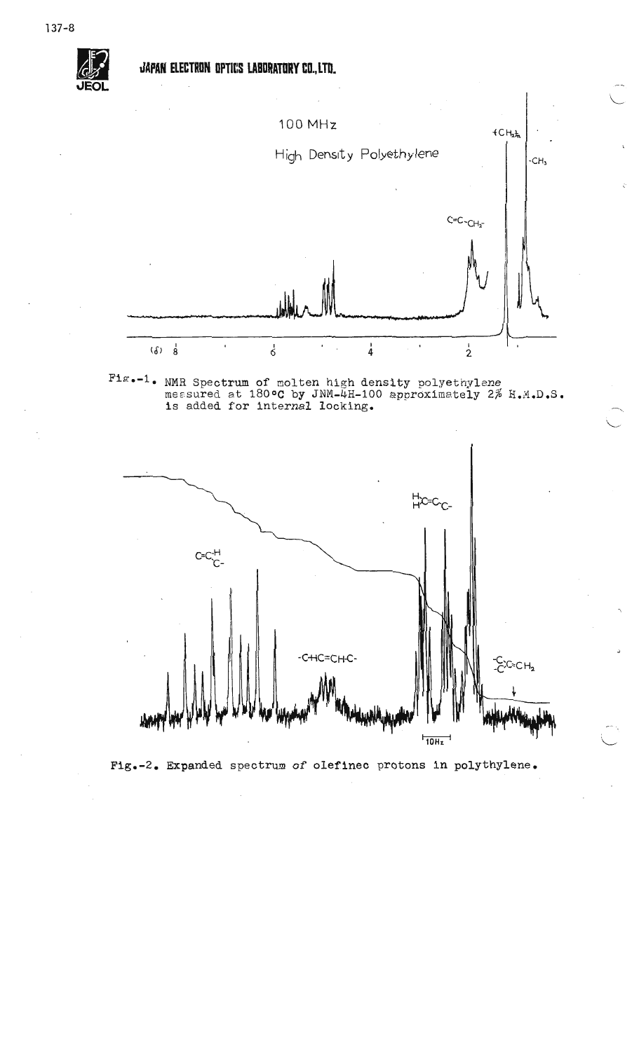#### JAPAN ELECTRON OPTICS LABORATORY CO., LTD.



Fig.-2. Expanded spectrum of olefinec protons in polythylene.

 $10Hz$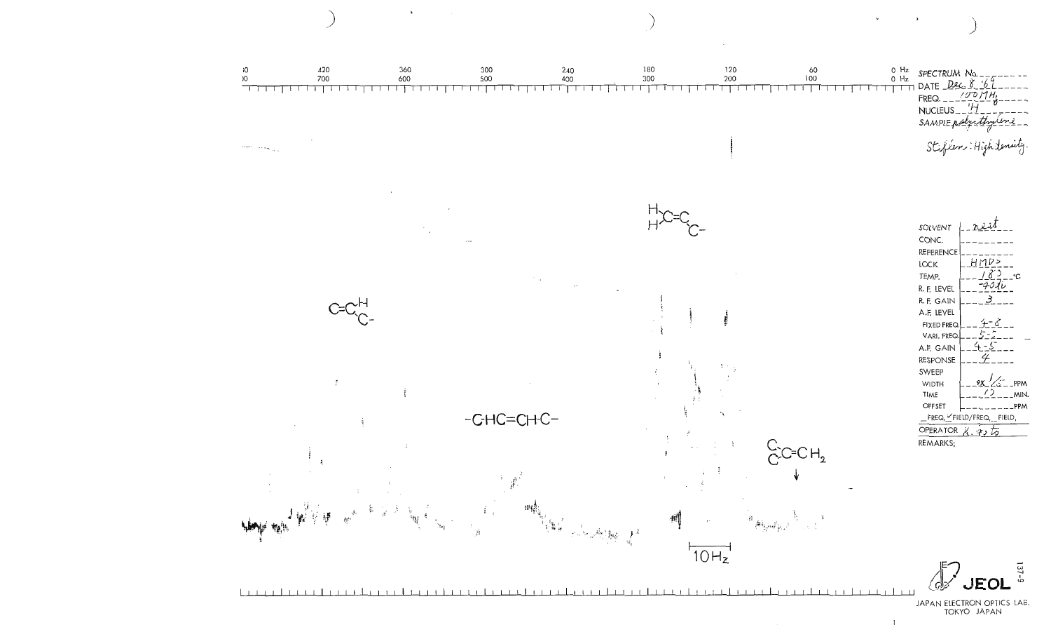

Japan Electron Optics Lab.<br>Tokyo Japan

 $\mathbf{I}$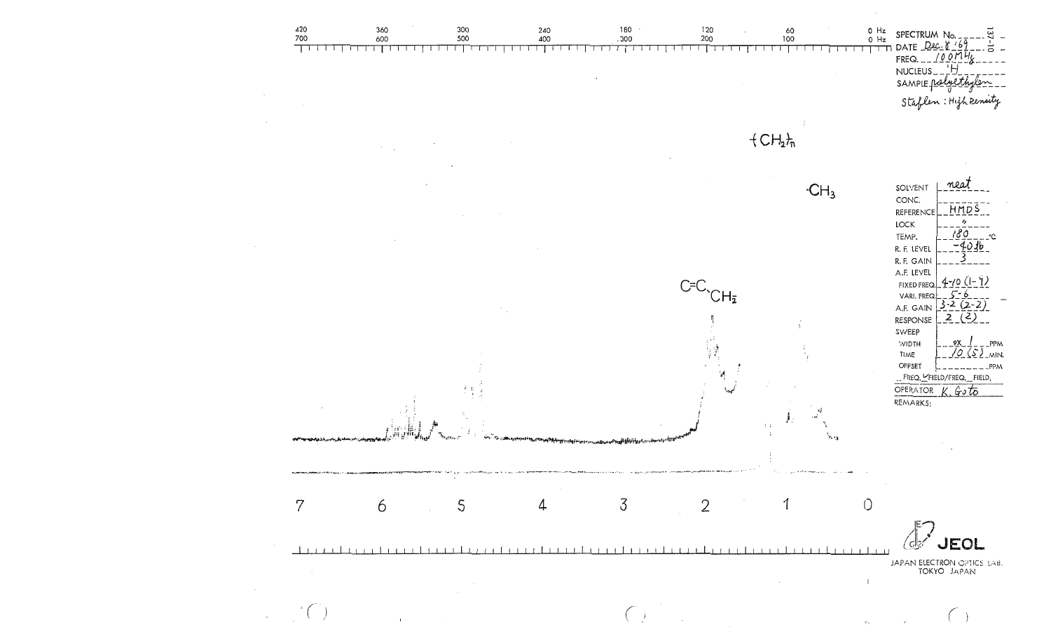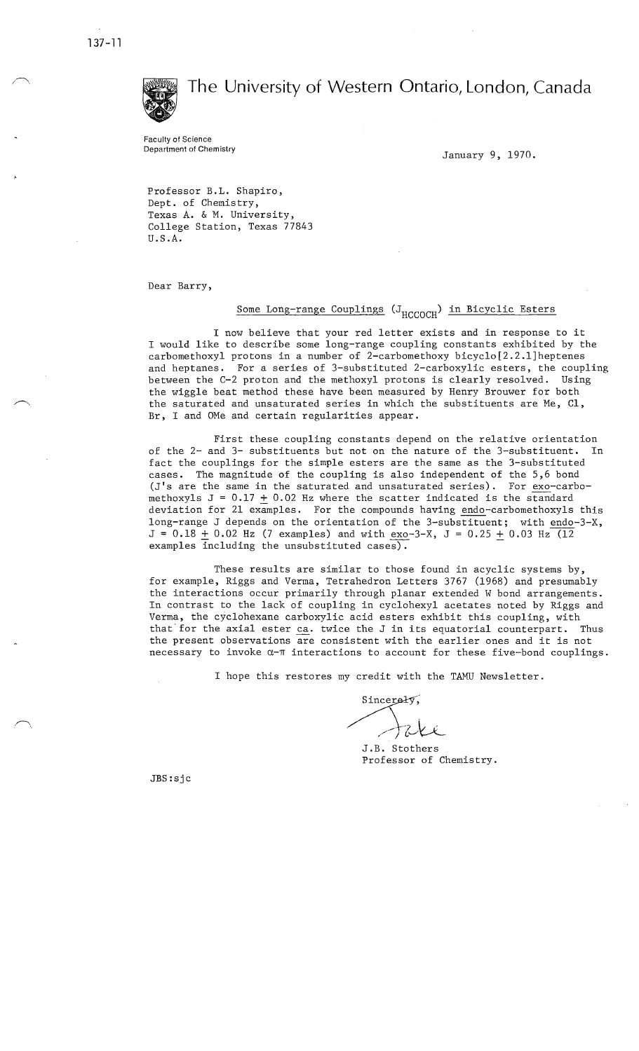*( \* ' I



## **The University of Western Ontario, London, Canada**

Faculty of Science Department of Chemistry

January 9, 1970.

Professor B.L. Shapiro, Dept. of Chemistry, Texas A. & M. University, College Station, Texas 77843 U.S.A.

Dear Barry,

#### Some Long-range Couplings (J<sub>HCCOCH</sub>) in Bicyclic Esters

I now believe that your red letter exists and in response to it I would like to describe some long-range coupling constants exhibited by the carbomethoxyl protons in a number of 2-carbomethoxy bicyclo[2.2.l]heptenes and heptanes. For a series of 3-substituted 2-carboxylic esters, the coupling between the C-2 proton and the methoxyl protons is clearly resolved. Using the wiggle beat method these have been measured by Henry Brouwer for both the saturated and unsaturated series in which the substituents are Me, Cl, Br, I and OMe and certain regularities appear.

First these coupling constants depend on the relative orientation of the 2- and 3- substituents but not on the nature of the 3- substituent. In fact the couplings for the simple esters are the same as the 3-substituted cases. The magnitude of the coupling is also independent of the 5,6 bond (J's are the same in the saturated and unsaturated series). For exo-carbomethoxyls  $J = 0.17 + 0.02$  Hz where the scatter indicated is the standard deviation for 21 examples. For the compounds having endo-carbomethoxyls this long-range **J** depends on the orientation of the 3-substituent; with endo-3-X,  $J = 0.18 + 0.02$  Hz (7 examples) and with exo-3-X,  $J = 0.25 + 0.03$  Hz (12 examples including the unsubstituted cases).

These results are similar to those found in acyclic systems by, for example, Riggs and Verma, Tetrahedron Letters 3767 (1968) and presumably the interactions occur primarily through planar extended W bond arrangements. In contrast to the lack of coupling in cyclohexyl acetates noted by Riggs and Verma, the cyclohexane carboxylic acid esters exhibit this coupling, with that for the axial ester ca. twice the J in its equatorial counterpart. Thus the present observations are consistent with the earlier ones and it is not necessary to invoke  $\alpha$ - $\pi$  interactions to account for these five-bond couplings.

I hope this restores my credit with the TAMU Newsletter.

sincere<del>ly</del>,

J.B. Stothers Professor of Chemistry.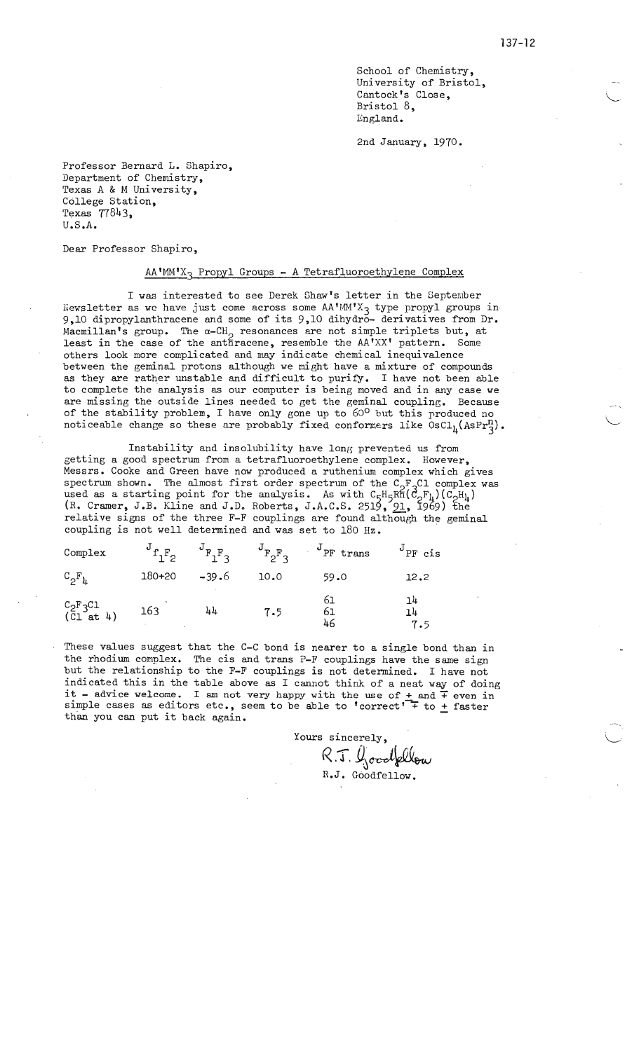$\setminus$ 

School of Chemistry, University of Bristol, Cantock's Close, Bristol 8. :England.

2nd January, 1970.

Professor Bernard L. Shapiro, Department of Chemistry, Texas A & M University, College Station, Texas 77843, U.S.A.

Dear Professor Shapiro,

#### $AA'MM'X_2$  Propyl Groups - A Tetrafluoroethylene Complex

I was interested to see Derek Shaw's letter in the September Rewsletter as we have just come across some  $AA'MM'X_3$  type propyl groups in 9,10 dipropylanthracene and some of its 9,10 dihydro- derivatives from Dr. Macmillan's group. The  $\alpha$ -CH<sub>2</sub> resonances are not simple triplets but, at least in the case of the antfiracene, resemble the AA'XX' pattern. Some others look more complicated and may indicate chemical inequivalence between the geminal protons although we might have a mixture of compounds as they are rather unstable and difficult to purify. I have not been able to complete the analysis as our computer is being moved and in any case we are missing the outside lines needed to get the geminal coupling. Because of the stability problem, I have only gone up to  $60^{\circ}$  but this produced no noticeable change so these are probably fixed conformers like  $0sCl<sub>h</sub>(AsPr<sub>3</sub><sup>n</sup>)$ .

Instability and insolubility have long prevented us from getting a good spectrum from a tetrafluoroethylene complex. However, Messrs. Cooke and Green have now produced a ruthenium complex which gives spectrum shown. The almost first order spectrum of the  $C_5F_5Cl$  complex was used as a starting point for the analysis. As with C<sub>5</sub>H<sub>5</sub>R6(e<sub>2F4</sub>)(C<sub>2</sub>H<sub>4</sub>) (C<sub>2</sub>H<sub>4</sub>) (C<sub>2</sub>H<sub>4</sub>) (C<sub>2</sub>H<sub>4</sub>) (C<sub>2</sub>H<sub>4</sub>) (C<sub>2</sub>H<sub>4</sub>) (C<sub>2</sub>H<sub>4</sub>) (C<sub>2</sub>H<sub>4</sub>) (C<sub>2</sub>H<sub>4</sub>) (C<sub>2</sub>H<sub>4</sub>) (C<sub>2</sub>H<sub>4</sub>) (C<sub>2</sub>H<sub>4</sub>) (C<sub>2</sub>H<sub>4</sub>) (C<sub>2</sub>H<sub>4</sub>) relative signs of the three F-F couplings are found although the geminal coupling is not well determined and was set to 180 Hz.

| Complex                 | $r_1F_2$ | $F_1F_2$ | $F_{\rho}F_{\rho}$ | $\overline{P}$ F trans | $^{\circ}$ PF cis |
|-------------------------|----------|----------|--------------------|------------------------|-------------------|
| $C_{2}F_{1}$            | 180+20   | $-39.6$  | 10.0               | 59.0                   | 12.2              |
| $C_2F_3C1$<br>(Cl at 4) | 163      | 44       | 7.5                | 61<br>61<br>46         | ىل1<br>14<br>7.5  |

These values suggest that the C-C bond is nearer to a single bond than in the rhodium complex. The cis and trans P-F couplings have the same sign but the relationship to the F-F couplings is not determined. I have not indicated this in the table above as I cannot think of a neat way of doing it - advice welcome. I am not very happy with the use of  $\pm$  and  $\pm$  even in simple cases as editors etc., seem to be able to 'correct' $\overline{+}$  to + faster than you can put it back again.

Yours sincerely, R.J. Goodfellow R.J. Goodfellow.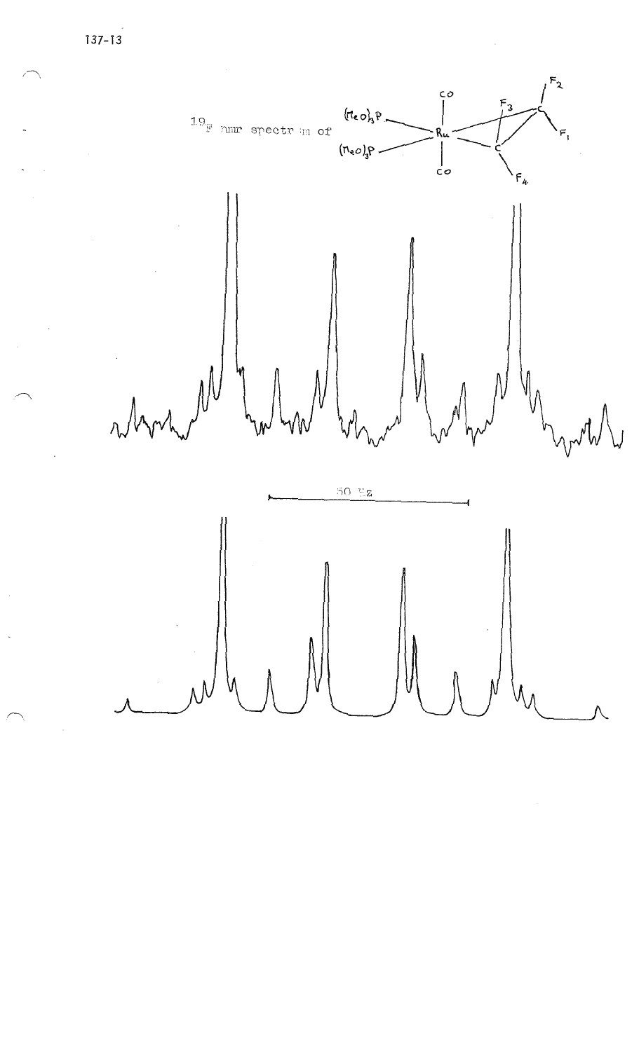137-13

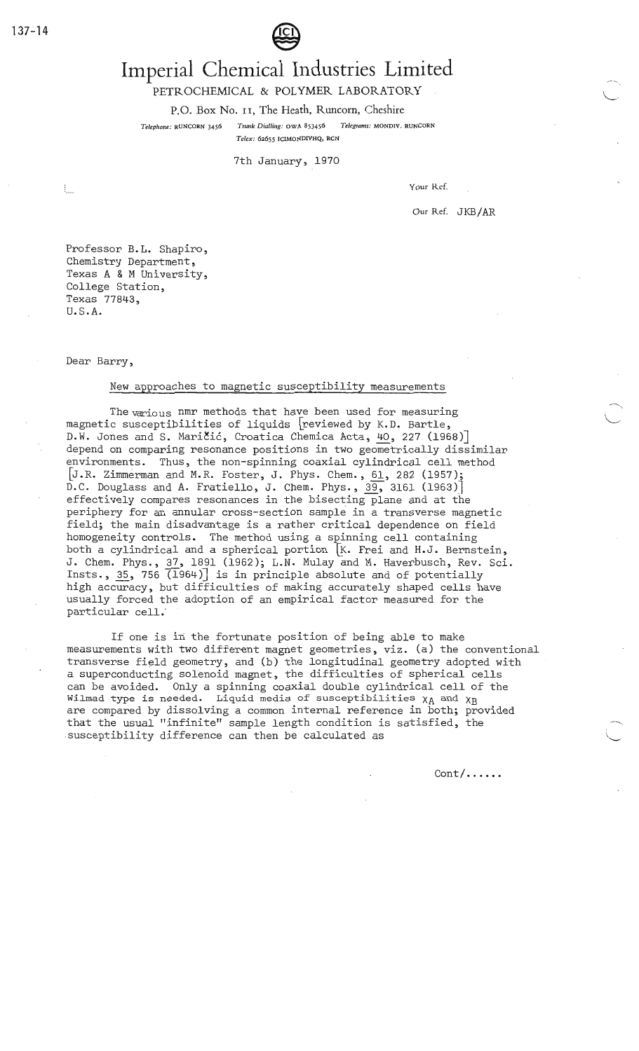

## **Imperial Chemical Industries Limited**

PETROCHEMICAL & POLYMER LABORATORY

P.O. Box No. II, The Heath, Runcorn, Cheshire

*Telep/Jone:* RUNCORN 3456 *Trunk Dialling:* OWA 853456 *Telegrams:* MONDIV. RUNCORN

*Telex:* 62655 ICIMONDIVHQ, RCN

7th January, 1970

Your Ref.

Our Ref. JKB/AR

Professor B.L. Shapiro, Chemistry Department, Texas A & M University, College Station, Texas 77843, U.S.A.

Dear Barry,

#### New approaches to magnetic susceptibility measurements

The various nmr methods that have been used for measuring magnetic susceptibilities of liquids [reviewed by K.D. Bartle, D.W. Jones and S. Maričić, Croatica Chemica Acta, 40, 227 (1968)] depend on comparing resonance positions in two geometrically dissimilar environments. Thus, the non-spinning coaxial cylindrical cell method [J.R. Zimmerman and M.R. Foster, J. Phys. Chem., 61, 282 (1957);  $D.C.$  Douglass and A. Fratiello, J. Chem. Phys.,  $39, 3161$  (1963)] effectively compares resonances in the bisecting plane and at the periphery for an annular cross-section sample in a transverse magnetic field; the main disadvantage is a rather critical dependence on field homogeneity controls. The method using a spinning cell containing both a cylindrical and a spherical portion [K. Frei and H.J. Bernstein, J. Chem. Phys., 37, 1891 (1962); L.N. Mulay and M. Haverbusch, Rev. Sci. Insts.,  $35$ ,  $756$   $(1964)$  is in principle absolute and of potentially high accuracy, but difficulties of making accurately shaped cells have usually forced the adoption of an empirical factor measured for the particular ce11.·

If one is in the fortunate position of being able to make measurements with two different magnet geometries, viz. (a) the conventional transverse field geometry, and (b) the longitudinal geometry adopted with a superconducting solenoid magnet, the difficulties of spherical cells can be avoided. Only a spinning coaxial double cylindrical cell of the Wilmad type is needed. Liquid media of susceptibilities  $\chi_A$  and  $\chi_B$ are compared by dissolving a common internal reference in both; provided that the usual "infinite" sample length condition is satisfied, the susceptibility difference can then be calculated as

 $Cont / \ldots$ .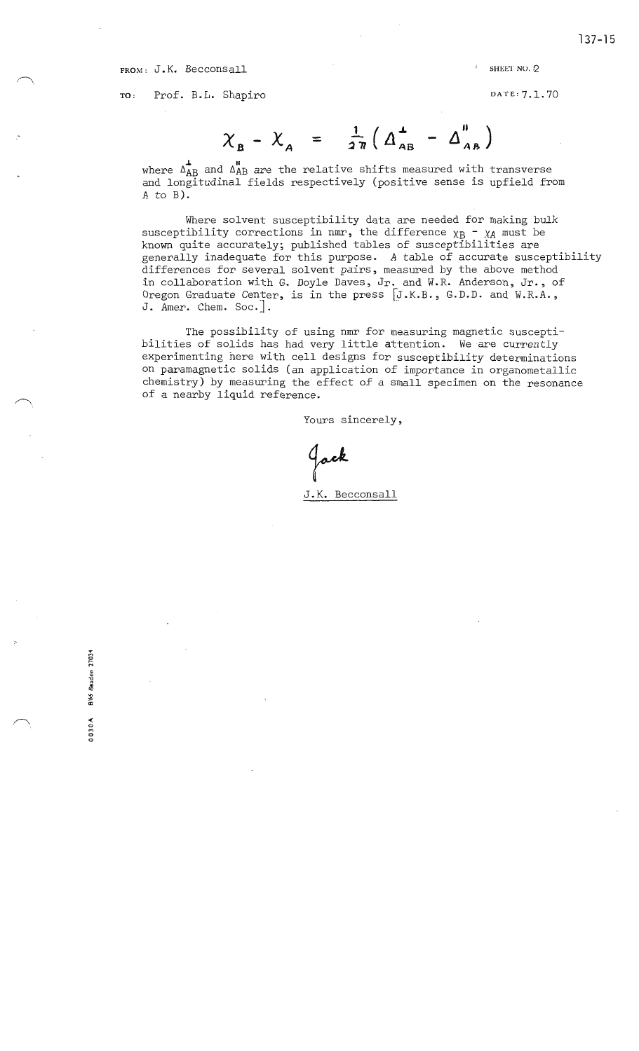FROM : J.K. Becconsall SHEET NO. 2

TO: Prof. B.L. Shapiro DATE: 7.1.70

 $\chi_{B}$  -  $\chi_{A}$  =  $\frac{1}{2\pi}(\Delta_{AB}^{4} - \Delta_{AB}^{4})$ 

where  $\Delta_{AB}^{\bullet}$  and  $\Delta_{AB}^{\bullet}$  are the relative shifts measured with transverse and longitudinal fields respectively (positive sense is upfield from A to B).

Where solvent susceptibility data are needed for making bulk susceptibility corrections in nmr, the difference  $\chi_B$  -  $\chi_A$  must be known quite accurately; published tables of susceptibilities are generally inadequate for this purpose. A table of accurate susceptibility differences for several solvent pairs, measured by the above method in collaboration with G. Doyle Daves, Jr. and W.R. Anderson, Jr., of Oregon Graduate Center, is in the press  $J.K.B., G.D.D.$  and  $W.R.A.,$ J. Amer. Chem. Soc.].

The possibility of using nmr for measuring magnetic susceptibilities of solids has had very little attention. We are currently experimenting here with cell designs for susceptibility determinations on paramagnetic solids (an application of importance in organometallic chemistry) by measuring the effect of a small specimen on the resonance of a nearby liquid reference.

Yours sincerely,

Jack

J.K. Becconsall

7'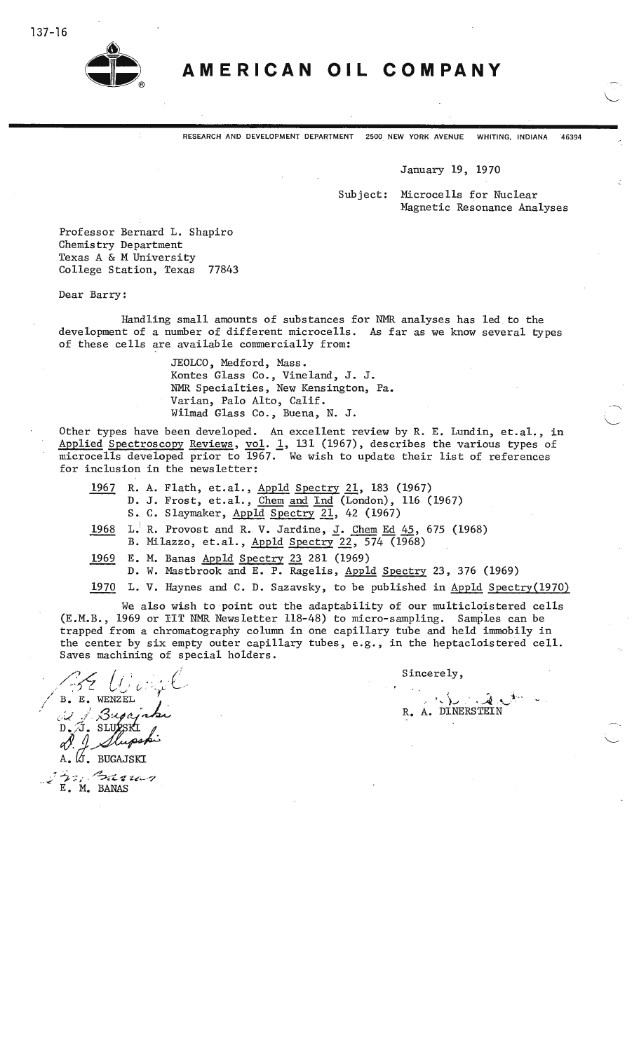

### **AMERICAN OIL COMPANY**

RESEARCH AND DEVELOPMENT DEPARTMENT 2500 NEW YORK AVENUE WHITING, INDIANA ·45394

#### January 19, 1970

Subject: Microcells for Nuclear Magnetic Resonance Analyses L

---..

Professor Bernard L. Shapiro Chemistry Department Texas A & M University College Station, Texas 77843

Dear Barry:

Handling small amounts of substances for NMR analyses has led to the development of a number of different microcells. As far as we know several types of these cells are available commercially from:

> JEOLCO, Medford, Mass. Kontes Glass Co., Vineland, J. J. NMR Specialties, New Kensington, Pa. Varian, Palo Alto, Calif. Wilmad Glass Co., Buena, N. J.

Other types have been developed. An excellent review by R. E. Lundin, et.al,, in Applied Spectroscopy Reviews, vol. 1, 131 (1967), describes the various types of microcells developed prior to 1967. We wish to update their list of references for inclusion in the newsletter:

1967 R. A. Flath, et.al., Appld Spectry 21, 183 (1967)

D. J. Frost, et.al., Chem and Ind (London), 116 (1967)

S. C. Slaymaker, Appld Spectry 21, 42 (1967)

1968 L.I R. Provost and R. V. Jardine, J. Chem Ed 45, 675 (1968) B. Milazzo, et.al., Appld Spectry-22, 574(1968)

1969 E. M. Banas Appld Spectry 23 281 (1969)

D. W. Mastbrook and E. P. Ragelis, Appld Spectry 23, 376 (1969)

1970 L. V. Haynes and C. D. Sazavsky, to be published in Appld Spectry(l970)

We also wish to point out the adaptability of our multicloistered cells (E.M.B., 1969 or IIT NMR Newsletter 118-48) to micro-sampling. Samples can be trapped from a chromatography column in one capillary tube and held immobily in the center by six empty outer capillary tubes, e.g., in the heptacloistered cell. Saves machining of special holders.

*//l* L I 1· ; . . \_- ·-' , ( / ./ 32 Wengel *(B. E. WENZEL ...)*  $D$ ,  $J$ . SLU $25K$  $\varnothing$ . BUGAJSKI *\_ \_.;,?" -=j. :: ,·* . ·0 i·C:~t"'•-<7 E. M. BANAS

' { . :) '-1 -- ,' .. . }.... . • **-.--"II** , •....,- ·. R. A. DINERSTEIN

Sincerely,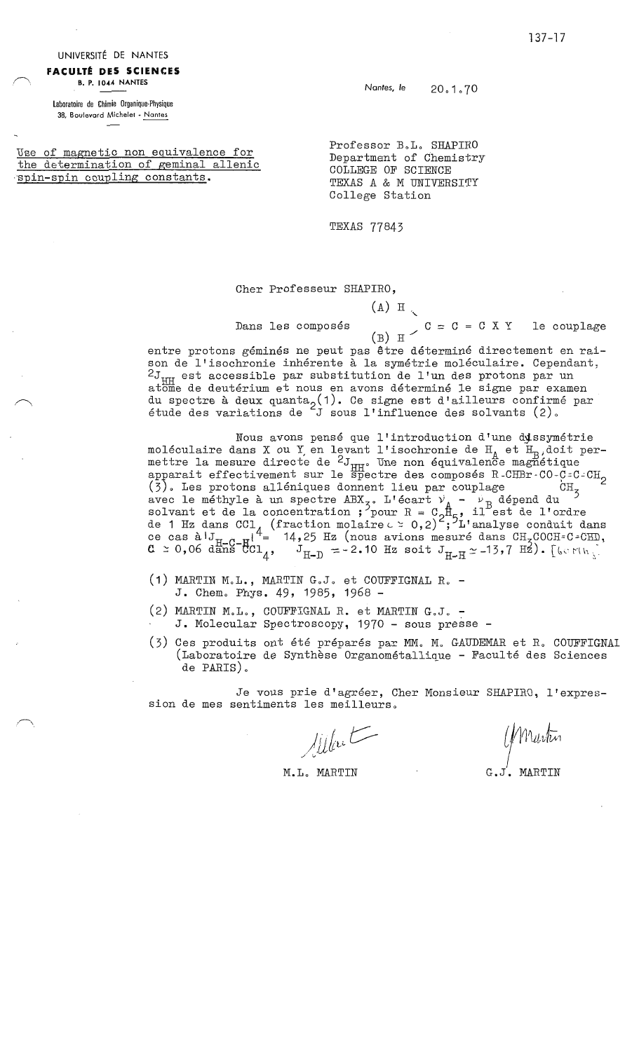UNIVERSITE DE NANTES

#### **FACULTi DES SCIENCES B. P. I 044 NANTES**

Laboratoire de Chimie Organique-Physique 38, Boulevord Michelet • Nontes

Use of magnetic non equivalence for the determination of geminal allenic spin-spin coupling constants.

*Nantes, le*   $20.1.70$ 

Professor B.L. SHAPIRO Department of Chemistry COLLEGE OF SCIENCE TEXAS A & M UNIVERSITY College Station

TEXAS 77843

Cher Professeur SHAPIRO,

 $(A)$  H  $\ddots$ 

Dans les composés  $C = C = C \times Y$  le couplage

 $(B)$  H  $'$ entre protons géminés ne peut pas être déterminé directement en raison de l'isochronie inhérente à la symétrie moléculaire. Cependant,  $2J_{\text{H}}$  est accessible par substitution de l'un des protons par un atome de deutérium et nous en avons déterminé le signe par examen du spectre à deux quanta<sub>2</sub>(1). Ce signe est d'ailleurs confirmé par<br>étude des variations de <sup>2</sup>J sous l'influence des solvants (2).

Nous avons pensé que l'introduction d'une dissymétrie moléculaire dans X ou Y en levant l'isochronie de H<sub>A</sub> et H<sub>R</sub>, doit permettre la mesure directe de  ${}^{2}J_{HH}$ . Une non équivalence magnétique<br>apparait effectivement sur le spectre des composés R-CHBr-CO-C=C-CH<sub>2</sub> apparait effectivement sur le spectre des composés R-CHBr-CO-C=C=CH<sub>2</sub><br>(3). Les protons alléniques donnent lieu par couplage CH<sub>3</sub><br>avec le méthyle à un spectre ABX<sub>3</sub>. L'écart  $\gamma_A - \gamma_B$  dépend du<br>solvant et de la concentr solvant et de la concentration; pour  $R = C_2 R_5$ , il est de l'ordre<br>de 1 Hz dens CC1 (frestier relaire  $(0, 0, 0)$ )<sup>2</sup>. Il est de l'ordre de 1 Hz dans CC1 (fraction molaire  $\sim 0.2$ ); L'analyse conduit dans ce cas à  $1J_{H-G-H}$  = 14, 25 Hz (nous avions mesuré dans CH<sub>3</sub>COCH=C=CHD,  ${\tt c ~ z ~ o, o}$ 6 däns  ${\tt dcl}_4, \quad$  J<sub>H-D</sub>  $=$  -2.10 Hz soit J<sub>H-H</sub>  $\simeq$  -13,7 Hz). [berth  $\sqrt[3]{\,}$ 

- (1) MARTIN M.L., MARTIN G.J. et COUFFIGNAL R. -J. Chem. Phys. 49, 1985, 1968 -
- (2) MARTIN M.L., COUFFIGNAL R. et MARTIN G.J. -J. Molecular Spectroscopy, 1970 - sous presse -
- (3) Ces produits ont été préparés par MM. M. GAUDEMAR et R. COUFFIGNAI (Laboratoire de Synthese Organometallique - Faculte des Sciences de PARIS).

Je vous prie d'agréer, Cher Monsieur SHAPIRO, l'expres-<br>sion de mes sentiments les meilleurs.<br> $\iiint_{\mathcal{U}}\mathcal{U}$  (Muulum

l'uritin

M.L. MARTIN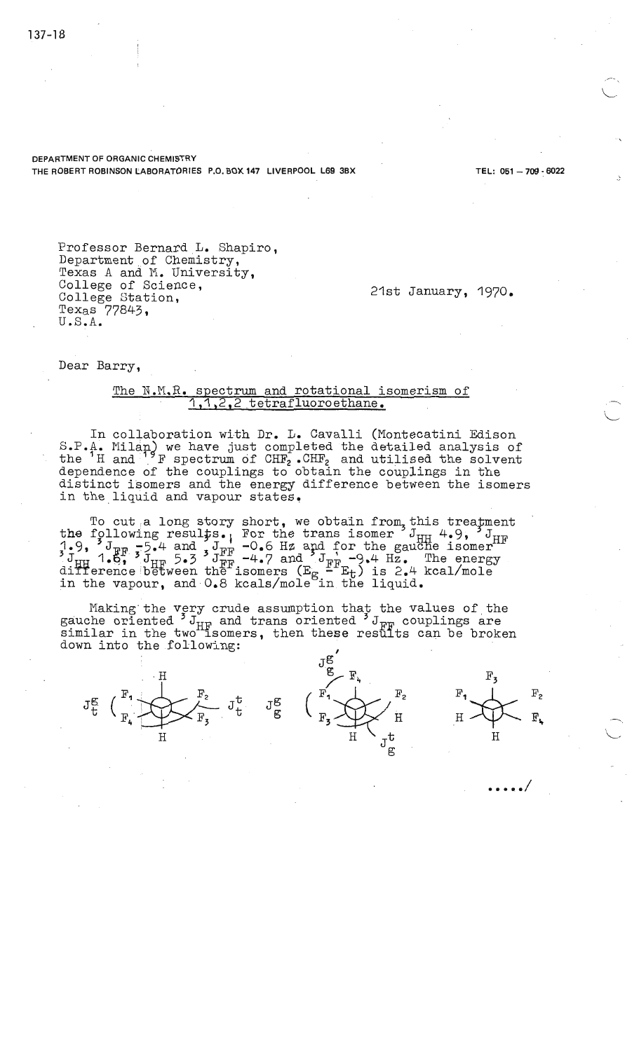#### I **DEPARTMENT OF ORGANIC CHEMISTRY THE ROBERT ROBINSON tlABORATORIES P.O. BOX 147 LIVERPOOL L69 3BX** I **TEL: 051** - **<sup>709</sup>**· **<sup>6022</sup>**

. .... /

Professor Bernard L. Shapiro, Department of Chemistry, Texas A and M. University, College of Science,<br>College Station, Texas 77843, U.S.A.

 $21st$  January,  $1970.$ 

Dear Barry,

#### The N.M.R. spectrum and rotational isomerism of 1,1,2,2 tetrafluoroethane.

In coliaboration with Dr. L. Cavalli (Montecatini Edison S.P.A. Milan) we have just completed the detailed analysis of the  $H$  and  $H$  F spectrum of  $CHF_2$ .  $CHF_2$  and utilised the solvent dependence of the couplings to obtain the couplings in the distinct isomers and the energy difference between the isomers in the liquid and vapour states.

To cut a long story short, we obtain from, this treatment the following results. For the trans isomer  ${}^3$  J<sub>HH</sub> 4.9,  ${}^3$  J<sub>HF</sub>  $\frac{1}{3}$ ,  $\frac{3}{7}$  J<sub>RF</sub>  $\frac{5}{3}$ ,  $\frac{4}{1}$  and  $\frac{3}{3}$  J<sub>FF</sub>  $\frac{1}{4}$  -0.6 Hz and for the gauche isomer<sup>r</sup>  $^3$  J<sub>HH</sub> 1.6.  $^3$  J<sub>HF</sub> 5.3 J<sub>FF</sub> -4.7 and  $^3$  J<sub>FF</sub> -9.4 Hz. The energy difference between the isomers (E<sub>g</sub> - E<sub>t</sub>) is 2.4 kcal/mole in the vapour, and 0.8 kcals/mole in the liquid.

Making the very crude assumption that the values of the gauche oriented  ${}^{3}$  J<sub>HF</sub> and trans oriented  ${}^{3}$  J<sub>FF</sub> couplings are similar in the two isomers, then these results can be broken down into the following:

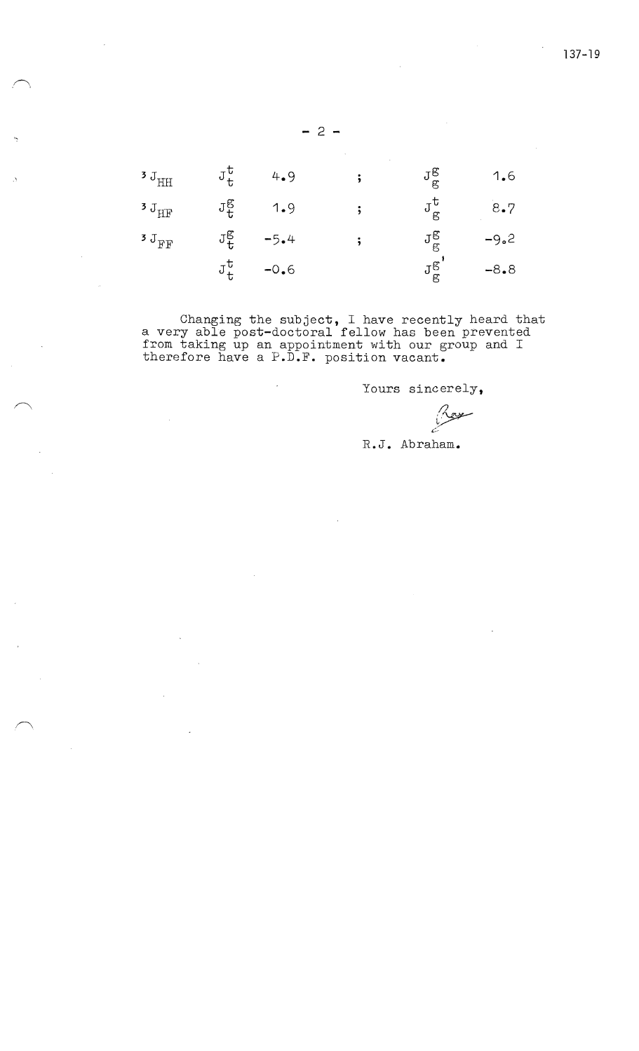$J_{\text{HH}}$   $J_{\text{t}}$ **t** 4.9 Jg  $J_g^g$  1.6  $J_{HF}$   $J_{\tilde{t}}^{\tilde{g}}$  $t^{g}$  1.9 ;  $J_g^t$  $J_g^{\text{t}}$  8.7  $J_{FF}$   $J_{\tau}^{g}$ **t** -5.4 Jg <sup>g</sup>**-9o2**  Jt  $J_g^g'$  $t = -0.6$   $J_g^g = -8.8$ 

 $- 2 -$ 

,\_

.\

Changing the subject, I have recently heard that a very able post-doctoral fellow has been prevented from taking up an appointment with our group and I therefore have a P.D.F. position vacant.

Yours sincerely,

سيبيين

R.J. Abraham.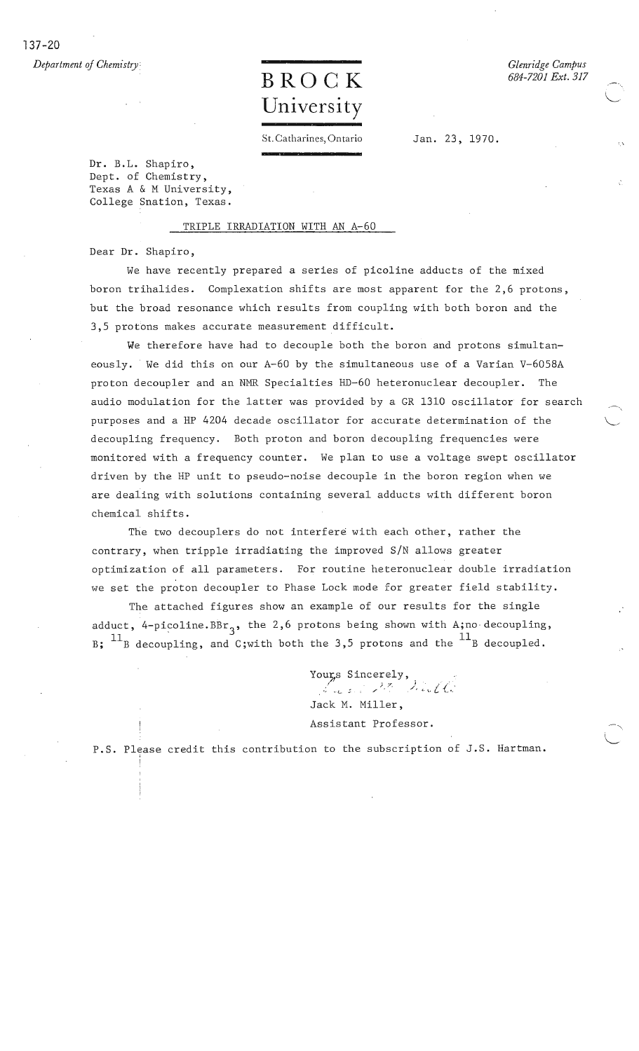137-20

*Department of Chemistry Glenridge Campus* Glenridge Campus **Glenridge Campus Glenridge Campus Glenridge Campus** 

## **BROCK University**

St. Catharines, Ontario Jan. 23, 1970.

Dr. B.L. Shapiro, Dept. of Chemistry, Texas A & M University, College Snation, Texas.

#### TRIPLE IRRADIATION WITH AN A-60

Dear Dr. Shapiro,

!

We have recently prepared a series of picoline adducts of the mixed boron trihalides. Complexation shifts are most apparent for the 2,6 protons, but the broad resonance which results from coupling with both boron and the 3,5 protons makes accurate measurement difficult.

We therefore have had to decouple both the boron and protons simultaneously. We did this on our A-60 by the simultaneous use of a Varian V-6058A proton decoupler and an NMR Specialties HD-60 heteronuclear decoupler. The audio modulation for the latter was provided by a GR 1310 oscillator for search purposes and a HP 4204 decade oscillator for accurate determination of the decoupling frequency. Both proton and boron decoupling frequencies were monitored with a frequency counter. We plan to use a voltage swept oscillator I driven by the HP unit to pseudo-noise decouple in the boron region when we are dealing with solutions containing several adducts with different boron chemical shifts.

The two decouplers do not interfere with each other, rather the contrary, when tripple irradiating the improved S/N allows greater optimization of all parameters. For routine heteronuclear double irradiation we set the proton decoupler to Phase Lock mode for greater field stability.

The attached figures show an example of our results for the single adduct,  $4$ -picoline.BBr<sub>2</sub>, the 2,6 protons being shown with A;no-decoupling, B;  $^{11}$ B decoupling, and C;with both the 3,5 protons and the  $^{11}$ B decoupled.

> Yours Sincerely, ... *j. 7. j i i i (iii)* Jack M. Miller, Assistant Professor.

P.S. Please credit this contribution to the subscription of J.S. Hartman.

*684-7201 Ext. 317*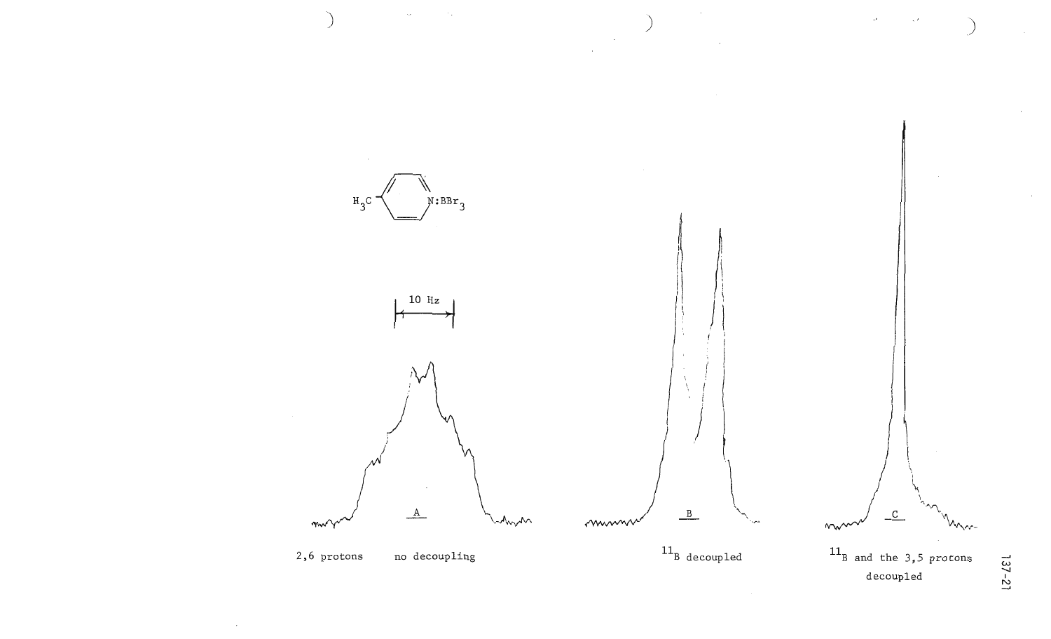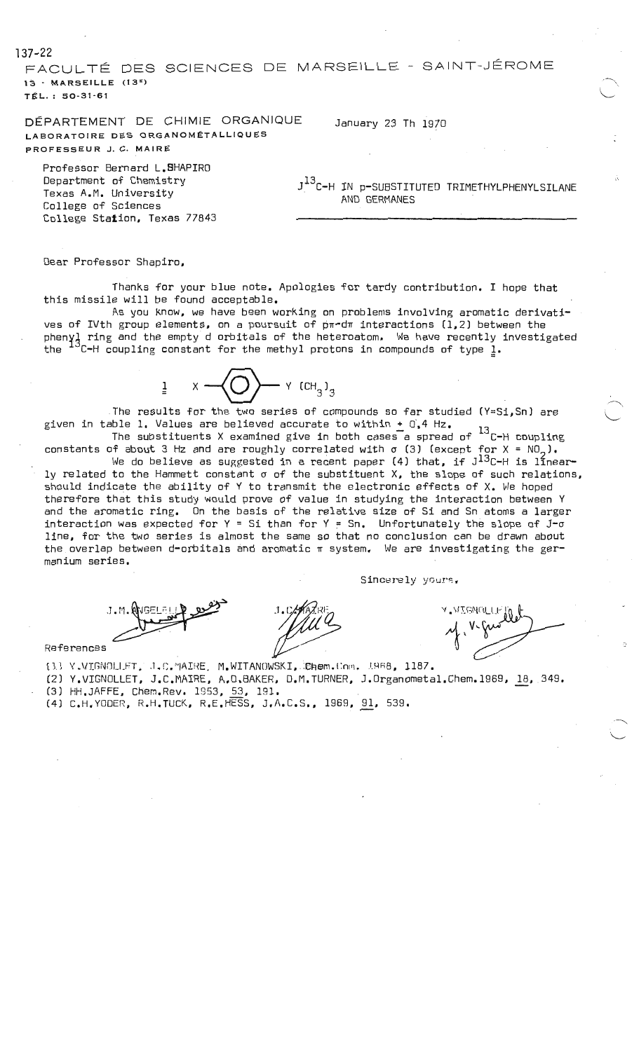137-22

FACULTÉ DES SCIENCES DE MARSEILLE - SAINT-JÉROME **13** · **MARSEILLE** (13E) **TEL.** : **50-31-61** 

DÉPARTEMENT DE CHIMIE ORGANIQUE LABORATOIRE DES ORGANOMÉTALLIQUES PROFESSEUR J.C. **MAIRE** 

January 23 Th 1970

Professor Bernard L.SHAPIRO Department of Chemistry Texas A.M. University College of Sciences College **Station,** Texas 77843

J 13c-H IN p-SUBSTITUTED TRIMETHYLPHENYLSILANE AND GERMANES

Dear Professor Shapiro,

Thanks for your blue note. Apologies for tardy contribution. I hope that this missile will be found acceptable.

As you know, we have been working on problems involving aromatic derivatives of IVth group elements, on a poursuit of  $p\pi$ -d $\pi$  interactions (1,2) between the phenyl ring and the empty d orbitals of the heteroatom. We have recently investigated<br>the  $^{13}$ C-H coupling constant for the methyl protons in compounds of type l.  $C-H$  coupling constant for the methyl protons in compounds of type  $l$ .

$$
\underline{\mathbf{1}} \qquad x \longrightarrow \boxed{\bigcirc} \qquad \qquad \text{if } \text{CH}_3 \mathbf{1}_3
$$

The results for the two series of compounds so far studied  $(Y=SI,Sn)$  are given in table 1. Values are believed accurate to within  $\pm$  0.4 Hz.

The substituents X examined give in both cases a spread of  $^{13}$ C-H coupling constants of about 3 Hz and are roughly correlated with  $\sigma$  (3) (except for X = NO<sub>2</sub>).

We do believe as suggested in a recent paper (4) that, if J $^{13}$ C-H is linearly related to the Hammett constant  $\sigma$  of the substituent X, the slope of such relations, should indicate the ability of Y to transmit the electronic effects of X. We hoped therefore that this study would prove of value in studying the interaction between Y and the aromatic ring. On the basis of the relative size of Si and Sn atoms a larger interaction was expected for Y = Si than for Y = Sn. Unfortunately the slope of J- $\sigma$ line, for the two series is almost the same so that no conclusion can be drawn about the overlap between d-orbitals and aromatic  $\pi$  system. We are investigating the germanium series.

Sincerely yours,

References

(1) Y.VIGNOLLFT. J.C. MAIRE. M.WITANOWSKI, :Ghem.Com. 1968, 1187.

(2) Y.VIGNOLLET, ' J.C.MAIRE, A.D.BAKER, D.M.TURNER, J.Drganometal.Chem.1969, 1B, 349. (3) HH.JAFFE, Chem.Rev. 1953, 53, 191.

(4) c.H.YDDER, R..H.TUCK, R.E.HESS, J.A.c.s., 1969, 91, 539.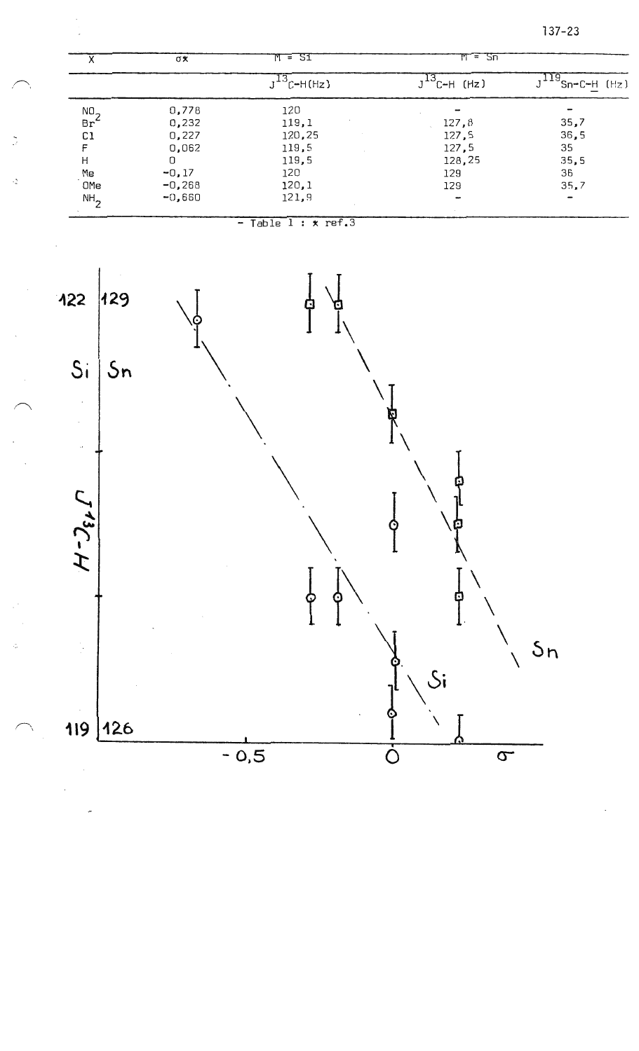$137 - 23$ 

| ∧               | σ×       | M = Si                 | $M = 5n$                 |                      |
|-----------------|----------|------------------------|--------------------------|----------------------|
|                 |          | $J^{\text{-}}$ C-H(Hz) | $J^{\text{-}}$ C-H (Hz)  | 119.<br>'Sn-C-H (Hz) |
| NO <sub>2</sub> | 0,778    | 120                    |                          |                      |
| Br'             | 0,232    | 119,1                  | 127,8                    | 35,7                 |
| C1              | 0,227    | 120,25                 | 127,5                    | 36,5                 |
|                 | 0,062    | 119,5                  | 127,5                    | 35                   |
| Η               |          | 119,5                  | 128,25                   | 35,5                 |
| Me              | $-0,17$  | 120                    | 129                      | 36                   |
| OMe             | $-0,268$ | 120,1                  | 129                      | 35,7                 |
| NH <sub>2</sub> | $-0,650$ | 121,9                  | $\overline{\phantom{a}}$ |                      |

- Table  $l : x$  ref.3

 $\sum_{i=1}^{n}$ 

 $\mathbb{Z}^2$ 

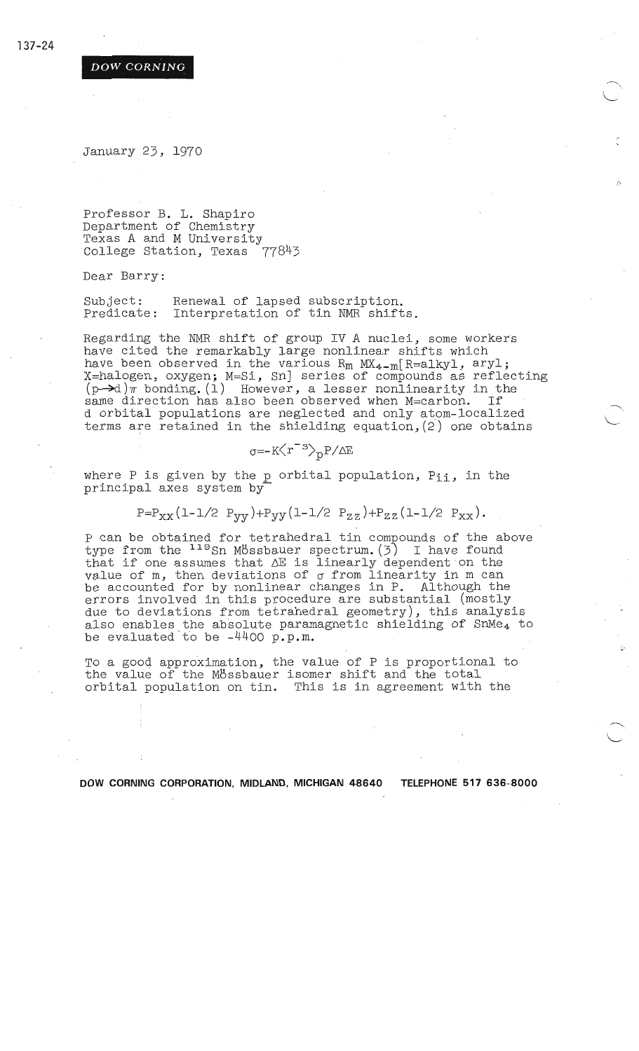#### **DOW CORNING**

January 23, 1970

Professor B. L. Shapiro Department of Chemistry Texas A and M University College Station, Texas 77843

Dear Barry:

Subject : Predicate: Interpretation of tin NMR shifts. Renewal of lapsed subscription.

Regarding the NMR shift of group IV A nuclei, some workers<br>have cited the remarkably large nonlinear shifts which have been observed in the various  $R_m$   $MX_{4-m}[R=a1ky1, ary1;$ X=halogen, oxygen; M=Si, Sn] series of compounds as reflecting  $(p\rightarrow d)\pi$  bonding. (1) However, a lesser nonlinearity in the same direction has also been observed when M=carbon. If d orbital populations are neglected and only atom-localized terms are retained in the shielding equation, (2) one obtains

$$
\sigma{=}{-}K{\left\langle r^{-3}\right\rangle }_{\mathbb{O}}\mathrm{P}/\Delta\mathrm{E}
$$

where P is given by the p orbital population,  $P_{i,j}$ , in the principal axes system by-

 $P=P_{XX}(1-1/2 P_{VV})+P_{yy}(1-1/2 P_{ZZ})+P_{ZZ}(1-1/2 P_{XX}).$ 

P can be obtained for tetrahedral tin compounds of the above type from the  $119$ Sn Mbssbauer spectrum. (3) I have found that if one assumes that  $\Delta E$  is linearly dependent on the value of  $m$ , then deviations of  $\sigma$  from linearity in m can be accounted for by nonlinear changes in P. Although the errors involved in this procedure are substantial (mostly due to deviations from tetrahedral geometry), this analysis also enables the absolute paramagnetic shielding of SnMe4 to be evaluated to be  $-4400$  p.p.m.

To a good approximation, the value of  $P$  is proportional to the value of the M8ssbauer isomer shift and the total orbital population on tin. This is in agreement with the

**DOW CORNING CORPORATION, MIDLAND, MICHIGAN 48640 TELEPHONE 517 636-8000** i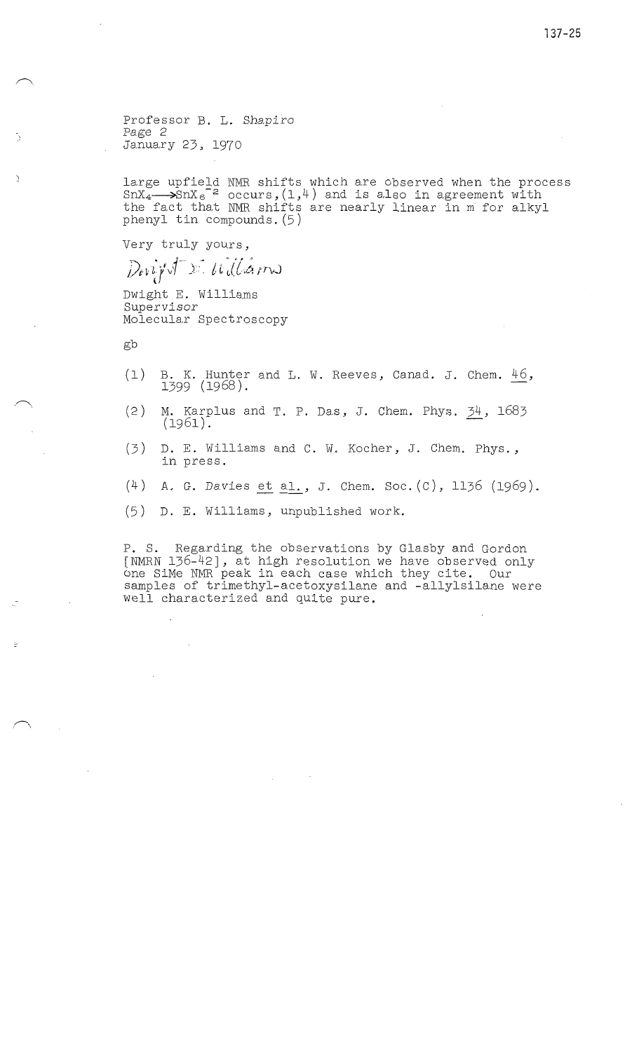Professor B. L. Shapiro Pa.ge 2 January 23, 1970

large upfield NMR shifts which are observed when the process  $SnX_4 \longrightarrow SnX_6$ <sup>-2</sup> occurs,  $(1,4)$  and is also in agreement with the fact that NMR shifts are nearly linear in m for alkyl phenyl tin compounds. (5)

Very truly yours,

 $Divif$  *v williams* 

Dwight E. Williams Supervisor Molecular Spectroscopy

gb

h

- (1) B. K. Hunter and L. W. Reeves, Canad. J. Chem. 46, 1399 ( 1968).
- ( 2) M. Karplus and T. P. Das, J. Chem. Phys. 34, 1683 (1961).
- (3) D. E. Williams and C. W. Kocher, J. Chem. Phys., in press.
- (4) A. G. Davies et al., J. Chem. Soc. (C), 1136 (1969).

(5) D. E. Williams, unpublished work.

P. S. Regarding the observations by Glasby and Gordon [NMRN 136-42], at high resolution we have observed only one SiMe NMR peak in each case which they cite. Our samples of trimethyl-acetoxysilane and -allylsilane were well characterized and quite pure.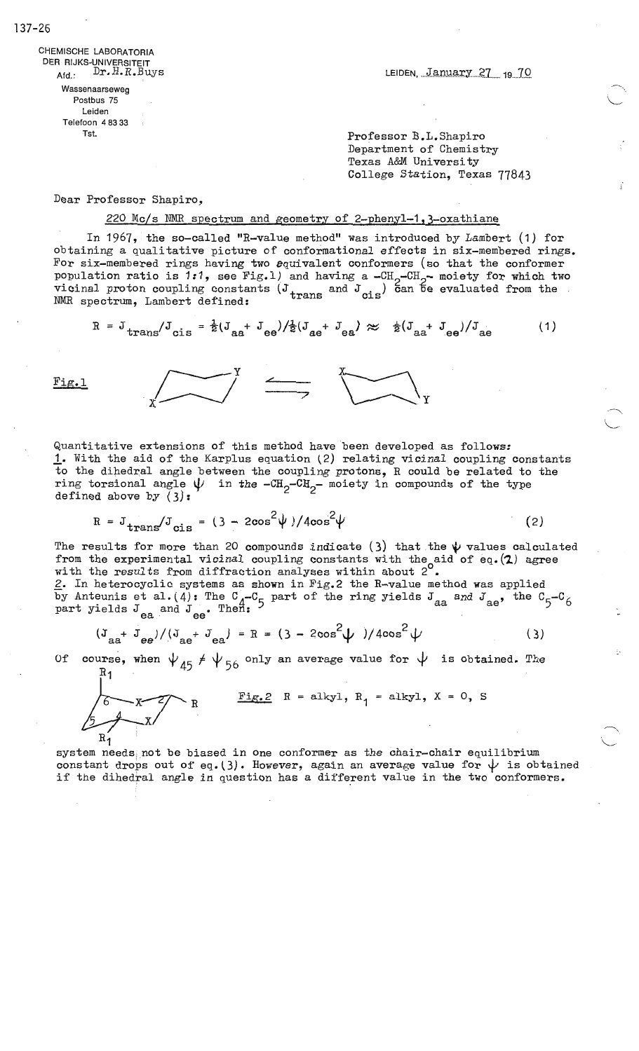137-26

CHEMISCHE LABORATORIA DER RIJKS-UNIVERSITEIT<br> $A_{\text{fd}}$ . Dr. H. R. Buys

> Wassenaarseweg Postbus 75 Leiden Telefoon 4 83 33 Tst.

 $A_{\text{fd}}$ . Dr.H.R. $\overline{B}$ uys  $D_{\text{f}}$  . The state of  $D_{\text{f}}$  is the state of  $D_{\text{f}}$ ,  $\overline{D}$  and  $\overline{D}$ 

i

Professor B.L.Shapiro Department of Chemistry Texas A&M University College Station, Texas 77843

Dear Professor Shapiro,

#### 220 Mc/s NMR spectrum and geometry of 2-phenyl-1,  $3$ -oxathiane

In 1967, the so-called "R-value method" was introduced by Lambert (1) for obtaining a qualitative picture of conformational effects in six-membered rings. For six-membered rings having two equivalent conformers (so that the conformer population ratio is 1:1, see Fig.l) and having a  $-CH_2$ -CH<sub>2</sub>- moiety for which two vicinal proton coupling constants ( $J_{trans}$  and  $J_{cis}$ ) can be evaluated from the NMR spectrum, Lambert defined: trans cis'

 $R = J_{trans}/J_{cis} = \frac{1}{2}(J_{aa} + J_{ee})/\frac{1}{2}(J_{ae} + J_{ea}) \approx \frac{1}{2}(J_{aa} + J_{ee})/J_{ae}$  (1)

Fig.l



Quantitative extensions of this method have been developed as follows: 1. With the aid of the Karplus equation (2) relating vicinal coupling constants to the dihedral angle between the coupling protons, R could be related to the ring torsional angle  $\psi$  in the  $-CH_2-CH_2$  moiety in compounds of the type defined above by  $(3):$ 

$$
R = J_{trans}/J_{cis} = (3 - 2\cos^2\psi)/4\cos^2\psi
$$
 (2)

The results for more than 20 compounds indicate  $(3)$  that the  $\psi$  values calculated from the experimental vicinal coupling constants with the aid of eq. (2) agree with the results from diffraction analyses within about 2°.

\_g\_. In heterocyclic systems as **shown** in Fig.2 the R-value method was applied by Anteunis et al.(4): The C<sub>4</sub>-C<sub>5</sub> part of the ring yields  $J_{aa}$  and  $J_{ae}$ , the C<sub>5</sub>-C<sub>6</sub> part yields  $J_{aa}$  and  $J_{ac}$ . Then:

$$
(\mathbf{J}_{aa} + \mathbf{J}_{ee})/(\mathbf{J}_{ae} + \mathbf{J}_{ea}) = \mathbf{R} = (3 - 2\cos^2 \psi) / 4\cos^2 \psi
$$
 (3)

Of course, when  $\psi_{45} \neq \psi_{56}$  only an average value for  $\psi$  is obtained. The  $R_1$ 

$$
R = \frac{\text{Fig.2 R}}{R} \cdot R = \text{alkyl}, R_1 = \text{alkyl}, X = 0, S
$$

system needs not be biased in one conformer as the chair-chair equilibrium constant drops out of eq.(3). However, again an average value for  $\psi$  is obtained if the dihedral angle in question has a different value in the two conformers. I.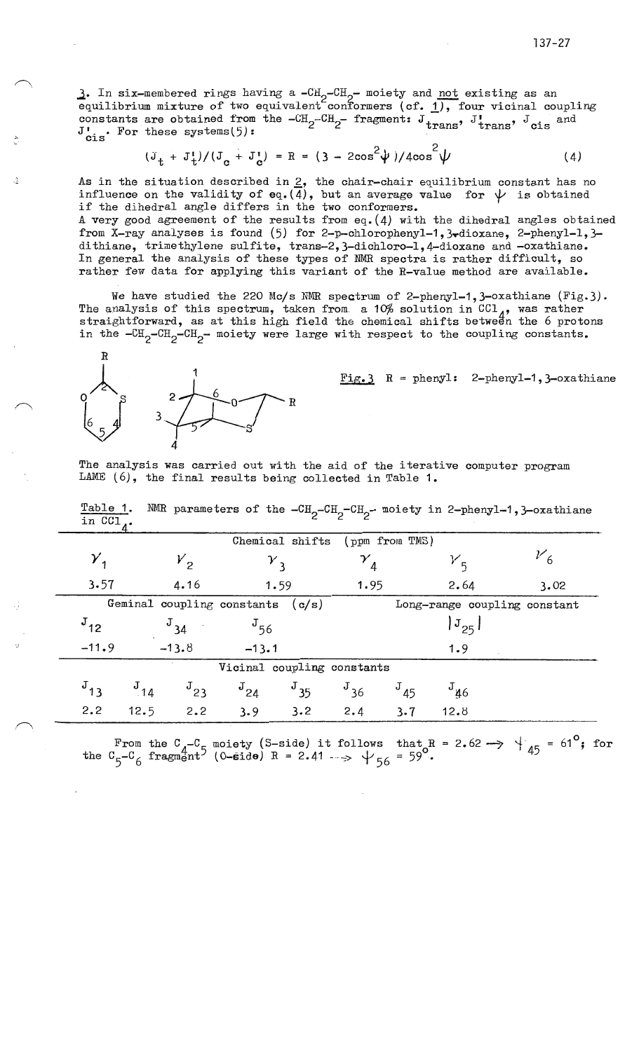$\frac{1}{2}$ . In six-membered rings having a  $-\text{CH}_2-\text{CH}_2$ - moiety and not existing as an conjinium mixture of two conjuglent conformers (of 1) four vicinal con equilibrium mixture of two equivalent conformers (cf. 1), four vicinal coupling constants are obtained from the  $-CH_2-CH_2$ -fragment:  $J_{trans}$ ,  $J_{trans}$ ,  $J_{cis}$  and  $J_{trans}$ ,  $J_{vis}$  $J_{ci}$ . For these systems(5): onstants are obtained from the  $-\omega_2-\omega_2$  riagment.  $\sigma$  trans' "trans' "cis cis". For these systems(5):

$$
(\mathbf{J}_{\mathbf{t}} + \mathbf{J}_{\mathbf{t}}^{i}) / (\mathbf{J}_{\mathbf{c}} + \mathbf{J}_{\mathbf{c}}^{i}) = \mathbf{R} = (3 - 2\cos^{2}\psi) / 4\cos^{2}\psi
$$
 (4)

As in the situation described in  $2$ , the chair-chair equilibrium constant has no influence on the validity of eq. (4), but an average value for  $\psi$  is obtained if the dihedral angle differs in the two conformers.

<sup>A</sup>very good agreement of the results from eq.(4) with the dihedral angles obtained from X-ray analyses is found (5) for 2-p-chlorophenyl-1,  $3$ -dioxane, 2-phenyl-1,  $3$ dithiane, trimethylene sulfite, trans-2,3-dichloro-l,4-dioxane and -oxathiane. In general the analysis of these types of NMR spectra is rather difficult, so rather few data for applying this variant of the R-value method are available.

We have studied the 220 Mc/s NMR spectrum of 2-phenyl-1, 3-oxathiane (Fig.3). The analysis of this spectrum, taken from. a 10% solution in  $\texttt{CCl}_A$ , was rather straightforward, as at this high field the chemical shifts between the 6 protons in the  $-CH_2-CH_2-CH_2$  moiety were large with respect to the coupling constants.



~

A

Fig.3  $R = pheny1$ : 2-phenyl-1, 3-oxathiane

The analysis was carried out with the aid of the iterative computer program LAME *(6),* the final results being collected in Table **1.** 

|                                         |          |          | Chemical shifts                    |           |                      | (ppm from TMS) |                              |         |
|-----------------------------------------|----------|----------|------------------------------------|-----------|----------------------|----------------|------------------------------|---------|
| $\boldsymbol{\mathcal{Y}}_{\texttt{1}}$ |          | $V_{2}$  |                                    |           | $\mathcal{V}^{}_{4}$ |                | $V_{\mathsf{F}}$             | $v_{6}$ |
| 3.57                                    |          | 4.16     | 1.59                               |           | 1.95                 |                | 2.64                         | 3.02    |
|                                         |          |          | Geminal coupling constants $(c/s)$ |           |                      |                | Long-range coupling constant |         |
| $J_{12}$                                |          | $J_{34}$ | $J_{56}$                           |           |                      |                | $J_{25}$                     |         |
| $-11.9$                                 |          | $-13.8$  | $-13.1$                            |           |                      |                | 1.9                          |         |
|                                         |          |          | Vicinal coupling constants         |           |                      |                |                              |         |
| $J_{13}$                                | $J_{14}$ | $J_{23}$ | $J_{24}$                           | $^{3}$ 35 | $\frac{J}{36}$       | $J_{45}$       | $J_{46}$                     |         |
| 2.2                                     | 12.5     |          | $2.2$ $3.9$ $3.2$ $2.4$            |           |                      | $3 - 7$        | 12.8                         |         |

From the C<sub>4</sub>-C<sub>5</sub> moiety (S-side) it follows that  $R = 2.62 \rightarrow$   $\frac{1}{45} = 61^{\circ}$ ; for From the C<sub>4</sub>-C<sub>5</sub> moiety (S-side) it follows that it<br>the C<sub>5</sub>-C<sub>6</sub> fragment<sup>5</sup> (O-side) R = 2.41 -  $\rightarrow$   $\downarrow$ <sub>56</sub> = 59°.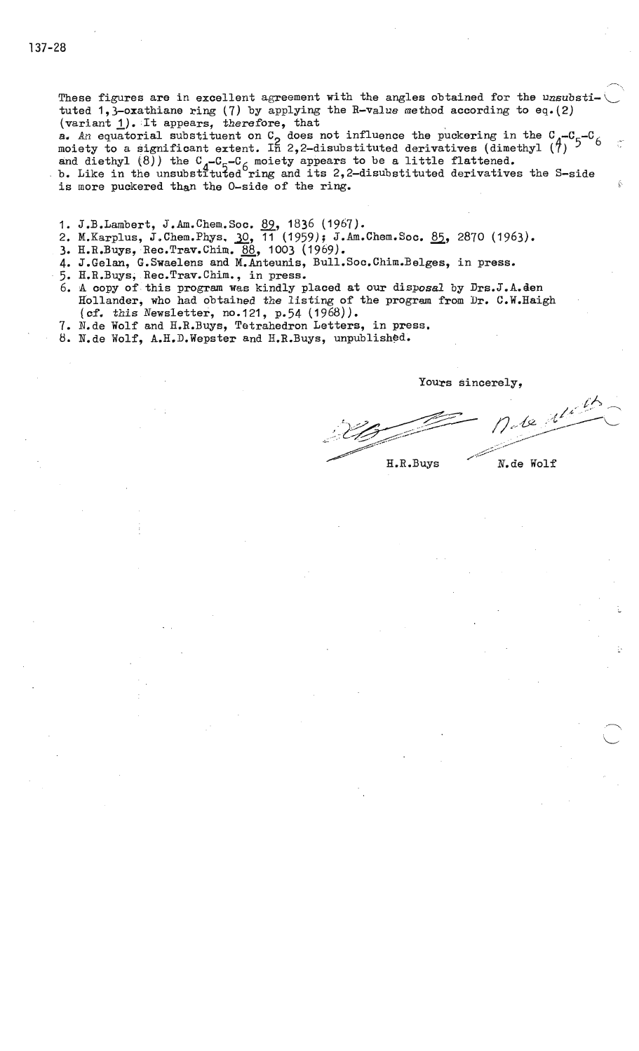-~ These figures are in excellent agreement with the angles obtained for the unsubsti-  $\overline{\bigcup}$ tuted 1,  $\overline{3}$ -oxathiane ring (7) by applying the R-value method according to eq.(2) (variant  $1$ ). It appears, therefore, that

a. An equatorial substituent on C<sub>2</sub> does not influence the puckering in the C<sub>4</sub>-C<sub>5</sub>-C<sub>6</sub> moiety to a significant extent. In 2,2-disubstituted derivatives (dimethyl  $(7)$ <sup>5-C</sup>6 and diethyl (8)) the C<sub>4</sub>-C<sub>5</sub>-C<sub>6</sub> moiety appears to be a little flattened.<br>b. Like in the unsubstituted ring and its 2,2-disubstituted derivatives the S-side

is more puckered than the 0-side of the ring.

1. J.B.Lambert, J.Am.Chem.Soc. 89, 1836 (1967).

2. M.Karplus, J.Chem.Phys. 30, 11 (1959); J.Am.Chem.Soc. 85, 2870 (1963).

3. H.R.Buys, Rec. Trav. Chim. 88, 1003 (1969).

4. J.Gelan, G.Swaelens and M.Anteunis, Bull.Soc.Chim.Belges, in press.

- 5. H.R.Buys; Rec.Trav.Chim., in press.
- 6. A copy of this program was kindly placed at our disposal by Drs.J.A.den Hollander, who had obtained the listing of the program from Dr. C.W.Haigh (cf. this Newsletter, no.121, p.54  $(1968)$ ).
- 7. N.de Wolf and H.R.Buys, Tetrahedron Letters, in press.
- 8. N.de Wolf, A.H.D.Wepster and H.R.Buys, unpublished.

Yours sincerely,

Jule 11.16

H.R.Buys

N.de Wolf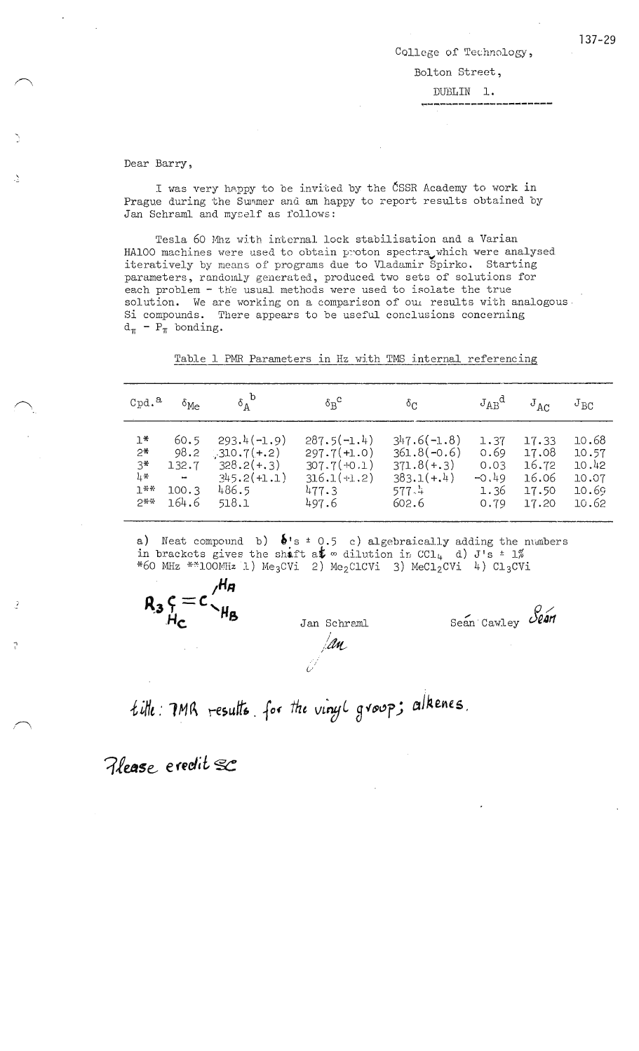#### College of Technology,

Bolton Street,

DUBLIN 1.

Dear Barry,

I was very happy to be invited by the CSSR Academy to work in Prague during the Summer and am happy to report results obtained by Jan Schraml and myself as follows:

Tesla 60 Mhz with internal lock stabilisation and a Varian HA100 machines were used to obtain proton spectra which were analysed iteratively by means of programs due to Vladamir Spirko. Starting parameters, randomly generated, produced two sets of solutions for each problem - the usual methods were used to isolate the true solution. We are working on a comparison of our results with analogous. Si compounds. There appears to be useful conclusions concerning  $d_{\pi}$  -  $P_{\pi}$  bonding.

| Cpd. <sup>a</sup> | $\delta_{\text{Me}}$     |               | $\delta_{\rm B}^{\phantom{2}}$ | ٥٢            | $J_{AB}^{\dagger d}$ | $J_{AC}$ | $J_{\rm BC}$ |
|-------------------|--------------------------|---------------|--------------------------------|---------------|----------------------|----------|--------------|
| $1*$              | 60.5                     | $293.4(-1.9)$ | $287.5(-1.4)$                  | $347.6(-1.8)$ | 1.37                 | 17.33    | 10.68        |
| $2*$              | 98.2                     | $310.7 (+ 2)$ | $297.7(+1.0)$                  | $361.8(-0.6)$ | 0.69                 | 17.08    | 10.57        |
| $3*$              | 132.7                    | $328.2 (+.3)$ | $307.7(+0.1)$                  | $371.8(+.3)$  | 0.03                 | 16.72    | 10.42        |
| կ*                | $\overline{\phantom{a}}$ | $345.2(+1.1)$ | $316.1(+1.2)$                  | $383.1 (+.4)$ | $-0.49$              | 16.06    | 10.07        |
| $7 * *$           | 100.3                    | 486.5         | 477.3                          | 577.4         | 1.36                 | 17.50    | 10.69        |
| つ**               | 164.6                    | 518.1         | 497.6                          | 602.6         | 0.79                 | 17.20    | 10.62        |

Table 1 PMR Parameters in Hz with TMS internal referencing

a) Neat compound b)  $\delta$ 's  $\pm$  0.5 c) algebraically adding the numbers in brackets gives the shaft at  $\infty$  dilution in CCl<sub>4</sub> d) J's  $\pm$  1% \*60 MHz \*\*100MHz 1) Me<sub>3</sub>CVi 2) Me<sub>2</sub>C1CVi 3) MeC1<sub>2</sub>CVi 4) Cl<sub>3</sub>CVi

 $R_3 \frac{c}{H_2} = c \frac{H_B}{H_B}$ 

Jan Schraml

Sean Cawley Sean

title: TMR results for the vinyl group; alkenes.

Please evedit sc

Ţ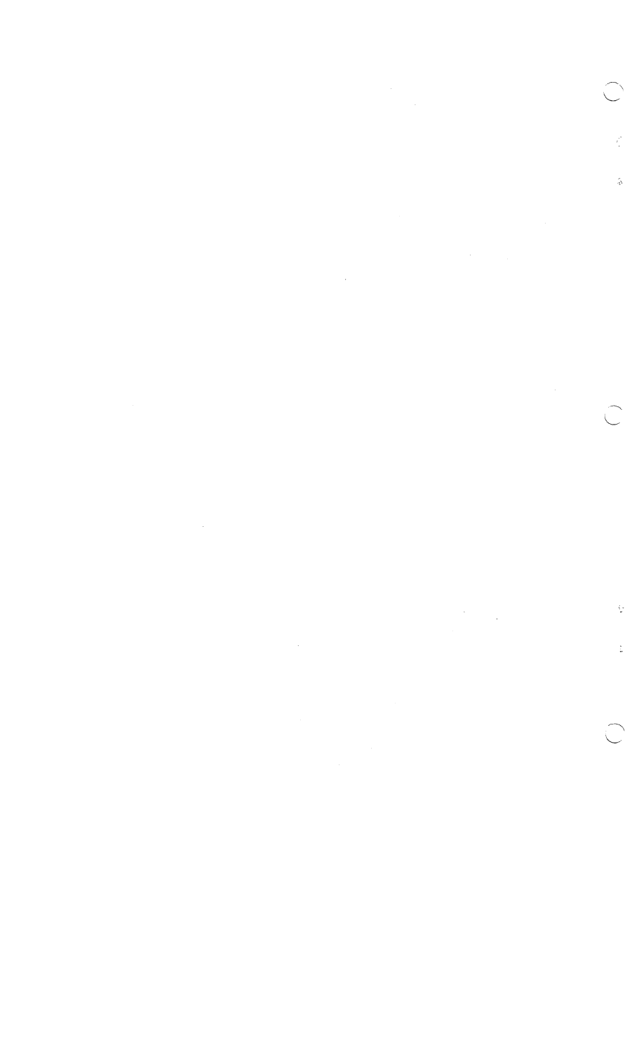$\label{eq:2.1} \begin{split} \mathcal{L}_{\text{max}}(\mathcal{L}_{\text{max}}) = \mathcal{L}_{\text{max}}(\mathcal{L}_{\text{max}}) \,, \end{split}$ 

 $\label{eq:2.1} \frac{1}{\sqrt{2}}\left(\frac{1}{\sqrt{2}}\right)^{2} \left(\frac{1}{\sqrt{2}}\right)^{2} \left(\frac{1}{\sqrt{2}}\right)^{2} \left(\frac{1}{\sqrt{2}}\right)^{2} \left(\frac{1}{\sqrt{2}}\right)^{2} \left(\frac{1}{\sqrt{2}}\right)^{2} \left(\frac{1}{\sqrt{2}}\right)^{2} \left(\frac{1}{\sqrt{2}}\right)^{2} \left(\frac{1}{\sqrt{2}}\right)^{2} \left(\frac{1}{\sqrt{2}}\right)^{2} \left(\frac{1}{\sqrt{2}}\right)^{2} \left(\$  $\label{eq:2.1} \mathcal{L}(\mathcal{L}^{\text{max}}_{\mathcal{L}}(\mathcal{L}^{\text{max}}_{\mathcal{L}}),\mathcal{L}^{\text{max}}_{\mathcal{L}^{\text{max}}_{\mathcal{L}}(\mathcal{L}^{\text{max}}_{\mathcal{L}^{\text{max}}_{\mathcal{L}^{\text{max}}_{\mathcal{L}^{\text{max}}_{\mathcal{L}^{\text{max}}_{\mathcal{L}^{\text{max}}_{\mathcal{L}^{\text{max}}_{\mathcal{L}^{\text{max}}_{\mathcal{L}^{\text{max}}_{\mathcal{L}^{\text{max}}_{\mathcal{$ 

 $\frac{1}{4} \lambda$ 

 $\label{eq:2.1} \frac{1}{\sqrt{2}}\int_{\mathbb{R}^3}\frac{1}{\sqrt{2}}\left(\frac{1}{\sqrt{2}}\right)^2\frac{1}{\sqrt{2}}\left(\frac{1}{\sqrt{2}}\right)^2\frac{1}{\sqrt{2}}\left(\frac{1}{\sqrt{2}}\right)^2\frac{1}{\sqrt{2}}\left(\frac{1}{\sqrt{2}}\right)^2.$ 

Ģ  $\label{eq:2.1} \frac{1}{\sqrt{2\pi}}\int_{\mathbb{R}^3}\frac{1}{\sqrt{2\pi}}\left(\frac{1}{\sqrt{2\pi}}\right)^2\frac{1}{\sqrt{2\pi}}\int_{\mathbb{R}^3}\frac{1}{\sqrt{2\pi}}\left(\frac{1}{\sqrt{2\pi}}\right)^2\frac{1}{\sqrt{2\pi}}\frac{1}{\sqrt{2\pi}}\int_{\mathbb{R}^3}\frac{1}{\sqrt{2\pi}}\frac{1}{\sqrt{2\pi}}\frac{1}{\sqrt{2\pi}}\frac{1}{\sqrt{2\pi}}\frac{1}{\sqrt{2\pi}}\frac{1}{\sqrt{2\$  $\frac{1}{4}$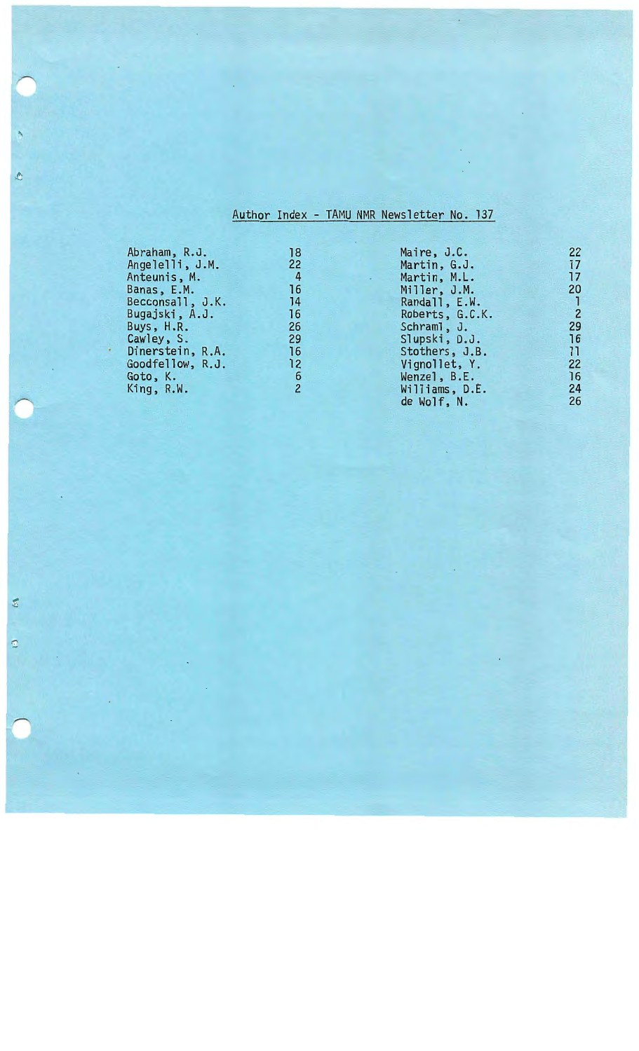|  |  | Author Index - TAMU NMR Newsletter No. 137 |
|--|--|--------------------------------------------|
|  |  |                                            |

O

€

 $\mathbb{C}$ 

| Abraham, R.J.    | 18              | Maire, J.C.     | 22             |
|------------------|-----------------|-----------------|----------------|
| Angelelli, J.M.  | 22              | Martin, G.J.    | 17             |
| Anteunis, M.     | $\overline{4}$  | Martin, M.L.    | 17             |
| Banas, E.M.      | 16              | Miller, J.M.    | 20             |
| Becconsall, J.K. | 14              | Randall, E.W.   |                |
| Bugajski, A.J.   | 16 <sup>7</sup> | Roberts, G.C.K. | $\overline{2}$ |
| Buys, H.R.       | 26              | Schraml, J.     | 29             |
| Cawley, S.       | 29              | Slupski, D.J.   | 16             |
| Dinerstein, R.A. | 16              | Stothers, J.B.  | 11             |
| Goodfellow, R.J. | 12              | Vignollet, Y.   | 22             |
| Goto, K.         | 6               | Wenzel, B.E.    | 16             |
| King, R.W.       | 2               | Williams, D.E.  | 24             |
|                  |                 | de Wolf, N.     | 26             |